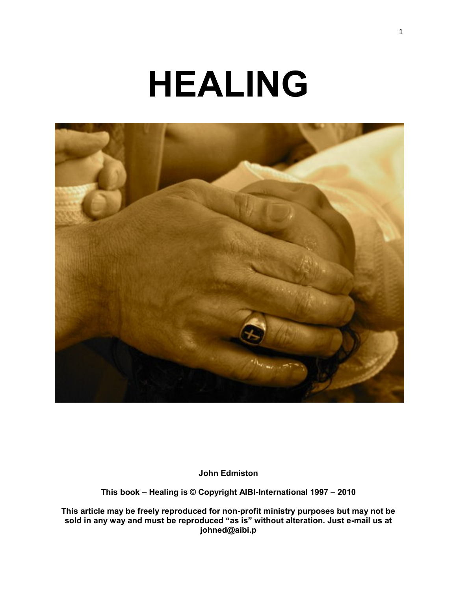# **HEALING**



**John Edmiston**

**This book – Healing is © Copyright AIBI-International 1997 – 2010**

**This article may be freely reproduced for non-profit ministry purposes but may not be sold in any way and must be reproduced "as is" without alteration. Just e-mail us at johned@aibi.p**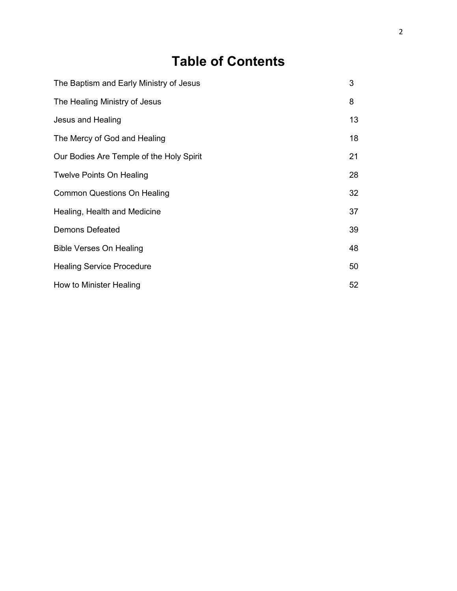# **Table of Contents**

| The Baptism and Early Ministry of Jesus  | 3  |
|------------------------------------------|----|
| The Healing Ministry of Jesus            | 8  |
| Jesus and Healing                        | 13 |
| The Mercy of God and Healing             | 18 |
| Our Bodies Are Temple of the Holy Spirit | 21 |
| <b>Twelve Points On Healing</b>          | 28 |
| <b>Common Questions On Healing</b>       | 32 |
| Healing, Health and Medicine             | 37 |
| <b>Demons Defeated</b>                   | 39 |
| <b>Bible Verses On Healing</b>           | 48 |
| <b>Healing Service Procedure</b>         | 50 |
| How to Minister Healing                  | 52 |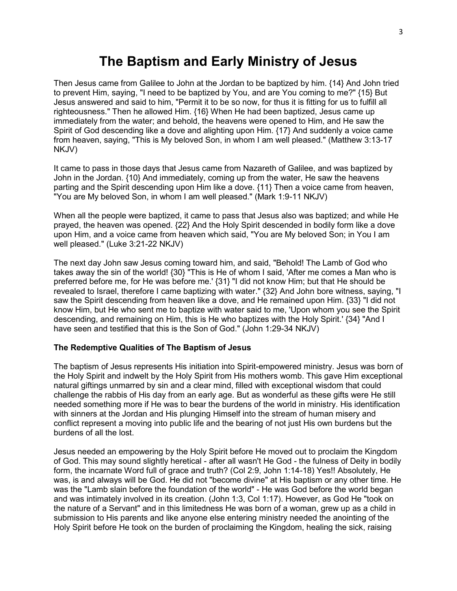# **The Baptism and Early Ministry of Jesus**

Then Jesus came from Galilee to John at the Jordan to be baptized by him. {14} And John tried to prevent Him, saying, "I need to be baptized by You, and are You coming to me?" {15} But Jesus answered and said to him, "Permit it to be so now, for thus it is fitting for us to fulfill all righteousness." Then he allowed Him. {16} When He had been baptized, Jesus came up immediately from the water; and behold, the heavens were opened to Him, and He saw the Spirit of God descending like a dove and alighting upon Him. {17} And suddenly a voice came from heaven, saying, "This is My beloved Son, in whom I am well pleased." (Matthew 3:13-17 NKJV)

It came to pass in those days that Jesus came from Nazareth of Galilee, and was baptized by John in the Jordan. {10} And immediately, coming up from the water, He saw the heavens parting and the Spirit descending upon Him like a dove. {11} Then a voice came from heaven, "You are My beloved Son, in whom I am well pleased." (Mark 1:9-11 NKJV)

When all the people were baptized, it came to pass that Jesus also was baptized; and while He prayed, the heaven was opened. {22} And the Holy Spirit descended in bodily form like a dove upon Him, and a voice came from heaven which said, "You are My beloved Son; in You I am well pleased." (Luke 3:21-22 NKJV)

The next day John saw Jesus coming toward him, and said, "Behold! The Lamb of God who takes away the sin of the world! {30} "This is He of whom I said, 'After me comes a Man who is preferred before me, for He was before me.' {31} "I did not know Him; but that He should be revealed to Israel, therefore I came baptizing with water." {32} And John bore witness, saying, "I saw the Spirit descending from heaven like a dove, and He remained upon Him. {33} "I did not know Him, but He who sent me to baptize with water said to me, 'Upon whom you see the Spirit descending, and remaining on Him, this is He who baptizes with the Holy Spirit.' {34} "And I have seen and testified that this is the Son of God." (John 1:29-34 NKJV)

### **The Redemptive Qualities of The Baptism of Jesus**

The baptism of Jesus represents His initiation into Spirit-empowered ministry. Jesus was born of the Holy Spirit and indwelt by the Holy Spirit from His mothers womb. This gave Him exceptional natural giftings unmarred by sin and a clear mind, filled with exceptional wisdom that could challenge the rabbis of His day from an early age. But as wonderful as these gifts were He still needed something more if He was to bear the burdens of the world in ministry. His identification with sinners at the Jordan and His plunging Himself into the stream of human misery and conflict represent a moving into public life and the bearing of not just His own burdens but the burdens of all the lost.

Jesus needed an empowering by the Holy Spirit before He moved out to proclaim the Kingdom of God. This may sound slightly heretical - after all wasn't He God - the fulness of Deity in bodily form, the incarnate Word full of grace and truth? (Col 2:9, John 1:14-18) Yes!! Absolutely, He was, is and always will be God. He did not "become divine" at His baptism or any other time. He was the "Lamb slain before the foundation of the world" - He was God before the world began and was intimately involved in its creation. (John 1:3, Col 1:17). However, as God He "took on the nature of a Servant" and in this limitedness He was born of a woman, grew up as a child in submission to His parents and like anyone else entering ministry needed the anointing of the Holy Spirit before He took on the burden of proclaiming the Kingdom, healing the sick, raising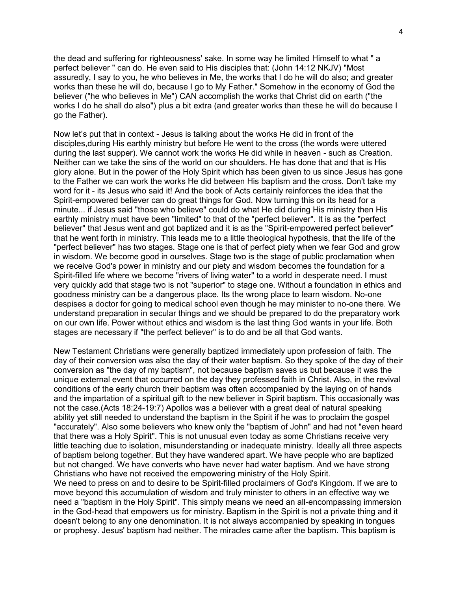the dead and suffering for righteousness' sake. In some way he limited Himself to what " a perfect believer " can do. He even said to His disciples that: (John 14:12 NKJV) "Most assuredly, I say to you, he who believes in Me, the works that I do he will do also; and greater works than these he will do, because I go to My Father." Somehow in the economy of God the believer ("he who believes in Me") CAN accomplish the works that Christ did on earth ("the works I do he shall do also") plus a bit extra (and greater works than these he will do because I go the Father).

Now let"s put that in context - Jesus is talking about the works He did in front of the disciples,during His earthly ministry but before He went to the cross (the words were uttered during the last supper). We cannot work the works He did while in heaven - such as Creation. Neither can we take the sins of the world on our shoulders. He has done that and that is His glory alone. But in the power of the Holy Spirit which has been given to us since Jesus has gone to the Father we can work the works He did between His baptism and the cross. Don't take my word for it - its Jesus who said it! And the book of Acts certainly reinforces the idea that the Spirit-empowered believer can do great things for God. Now turning this on its head for a minute... if Jesus said "those who believe" could do what He did during His ministry then His earthly ministry must have been "limited" to that of the "perfect believer". It is as the "perfect believer" that Jesus went and got baptized and it is as the "Spirit-empowered perfect believer" that he went forth in ministry. This leads me to a little theological hypothesis, that the life of the "perfect believer" has two stages. Stage one is that of perfect piety when we fear God and grow in wisdom. We become good in ourselves. Stage two is the stage of public proclamation when we receive God's power in ministry and our piety and wisdom becomes the foundation for a Spirit-filled life where we become "rivers of living water" to a world in desperate need. I must very quickly add that stage two is not "superior" to stage one. Without a foundation in ethics and goodness ministry can be a dangerous place. Its the wrong place to learn wisdom. No-one despises a doctor for going to medical school even though he may minister to no-one there. We understand preparation in secular things and we should be prepared to do the preparatory work on our own life. Power without ethics and wisdom is the last thing God wants in your life. Both stages are necessary if "the perfect believer" is to do and be all that God wants.

New Testament Christians were generally baptized immediately upon profession of faith. The day of their conversion was also the day of their water baptism. So they spoke of the day of their conversion as "the day of my baptism", not because baptism saves us but because it was the unique external event that occurred on the day they professed faith in Christ. Also, in the revival conditions of the early church their baptism was often accompanied by the laying on of hands and the impartation of a spiritual gift to the new believer in Spirit baptism. This occasionally was not the case.(Acts 18:24-19:7) Apollos was a believer with a great deal of natural speaking ability yet still needed to understand the baptism in the Spirit if he was to proclaim the gospel "accurately". Also some believers who knew only the "baptism of John" and had not "even heard that there was a Holy Spirit". This is not unusual even today as some Christians receive very little teaching due to isolation, misunderstanding or inadequate ministry. Ideally all three aspects of baptism belong together. But they have wandered apart. We have people who are baptized but not changed. We have converts who have never had water baptism. And we have strong Christians who have not received the empowering ministry of the Holy Spirit.

We need to press on and to desire to be Spirit-filled proclaimers of God's Kingdom. If we are to move beyond this accumulation of wisdom and truly minister to others in an effective way we need a "baptism in the Holy Spirit". This simply means we need an all-encompassing immersion in the God-head that empowers us for ministry. Baptism in the Spirit is not a private thing and it doesn't belong to any one denomination. It is not always accompanied by speaking in tongues or prophesy. Jesus' baptism had neither. The miracles came after the baptism. This baptism is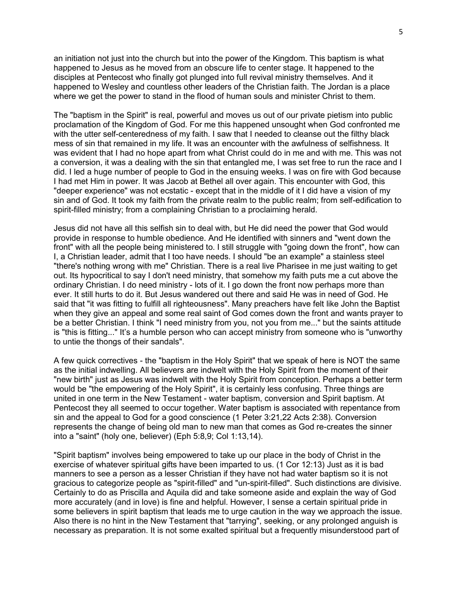an initiation not just into the church but into the power of the Kingdom. This baptism is what happened to Jesus as he moved from an obscure life to center stage. It happened to the disciples at Pentecost who finally got plunged into full revival ministry themselves. And it happened to Wesley and countless other leaders of the Christian faith. The Jordan is a place where we get the power to stand in the flood of human souls and minister Christ to them.

The "baptism in the Spirit" is real, powerful and moves us out of our private pietism into public proclamation of the Kingdom of God. For me this happened unsought when God confronted me with the utter self-centeredness of my faith. I saw that I needed to cleanse out the filthy black mess of sin that remained in my life. It was an encounter with the awfulness of selfishness. It was evident that I had no hope apart from what Christ could do in me and with me. This was not a conversion, it was a dealing with the sin that entangled me, I was set free to run the race and I did. I led a huge number of people to God in the ensuing weeks. I was on fire with God because I had met Him in power. It was Jacob at Bethel all over again. This encounter with God, this "deeper experience" was not ecstatic - except that in the middle of it I did have a vision of my sin and of God. It took my faith from the private realm to the public realm; from self-edification to spirit-filled ministry; from a complaining Christian to a proclaiming herald.

Jesus did not have all this selfish sin to deal with, but He did need the power that God would provide in response to humble obedience. And He identified with sinners and "went down the front" with all the people being ministered to. I still struggle with "going down the front", how can I, a Christian leader, admit that I too have needs. I should "be an example" a stainless steel "there's nothing wrong with me" Christian. There is a real live Pharisee in me just waiting to get out. Its hypocritical to say I don't need ministry, that somehow my faith puts me a cut above the ordinary Christian. I do need ministry - lots of it. I go down the front now perhaps more than ever. It still hurts to do it. But Jesus wandered out there and said He was in need of God. He said that "it was fitting to fulfill all righteousness". Many preachers have felt like John the Baptist when they give an appeal and some real saint of God comes down the front and wants prayer to be a better Christian. I think "I need ministry from you, not you from me..." but the saints attitude is "this is fitting..." It's a humble person who can accept ministry from someone who is "unworthy to untie the thongs of their sandals".

A few quick correctives - the "baptism in the Holy Spirit" that we speak of here is NOT the same as the initial indwelling. All believers are indwelt with the Holy Spirit from the moment of their "new birth" just as Jesus was indwelt with the Holy Spirit from conception. Perhaps a better term would be "the empowering of the Holy Spirit", it is certainly less confusing. Three things are united in one term in the New Testament - water baptism, conversion and Spirit baptism. At Pentecost they all seemed to occur together. Water baptism is associated with repentance from sin and the appeal to God for a good conscience (1 Peter 3:21,22 Acts 2:38). Conversion represents the change of being old man to new man that comes as God re-creates the sinner into a "saint" (holy one, believer) (Eph 5:8,9; Col 1:13,14).

"Spirit baptism" involves being empowered to take up our place in the body of Christ in the exercise of whatever spiritual gifts have been imparted to us. (1 Cor 12:13) Just as it is bad manners to see a person as a lesser Christian if they have not had water baptism so it is not gracious to categorize people as "spirit-filled" and "un-spirit-filled". Such distinctions are divisive. Certainly to do as Priscilla and Aquila did and take someone aside and explain the way of God more accurately (and in love) is fine and helpful. However, I sense a certain spiritual pride in some believers in spirit baptism that leads me to urge caution in the way we approach the issue. Also there is no hint in the New Testament that "tarrying", seeking, or any prolonged anguish is necessary as preparation. It is not some exalted spiritual but a frequently misunderstood part of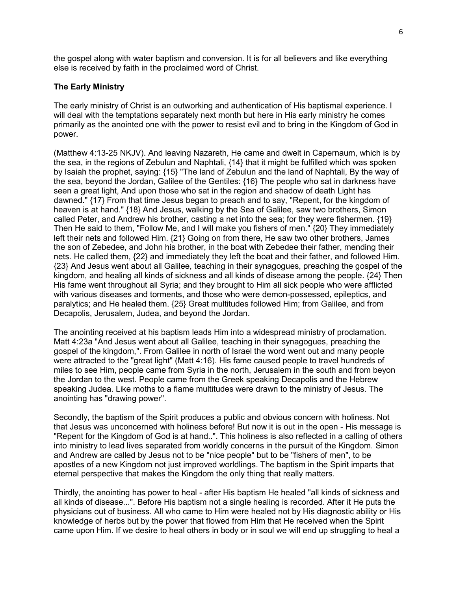the gospel along with water baptism and conversion. It is for all believers and like everything else is received by faith in the proclaimed word of Christ.

### **The Early Ministry**

The early ministry of Christ is an outworking and authentication of His baptismal experience. I will deal with the temptations separately next month but here in His early ministry he comes primarily as the anointed one with the power to resist evil and to bring in the Kingdom of God in power.

(Matthew 4:13-25 NKJV). And leaving Nazareth, He came and dwelt in Capernaum, which is by the sea, in the regions of Zebulun and Naphtali, {14} that it might be fulfilled which was spoken by Isaiah the prophet, saying: {15} "The land of Zebulun and the land of Naphtali, By the way of the sea, beyond the Jordan, Galilee of the Gentiles: {16} The people who sat in darkness have seen a great light, And upon those who sat in the region and shadow of death Light has dawned." {17} From that time Jesus began to preach and to say, "Repent, for the kingdom of heaven is at hand." {18} And Jesus, walking by the Sea of Galilee, saw two brothers, Simon called Peter, and Andrew his brother, casting a net into the sea; for they were fishermen. {19} Then He said to them, "Follow Me, and I will make you fishers of men." {20} They immediately left their nets and followed Him. {21} Going on from there, He saw two other brothers, James the son of Zebedee, and John his brother, in the boat with Zebedee their father, mending their nets. He called them, {22} and immediately they left the boat and their father, and followed Him. {23} And Jesus went about all Galilee, teaching in their synagogues, preaching the gospel of the kingdom, and healing all kinds of sickness and all kinds of disease among the people. {24} Then His fame went throughout all Syria; and they brought to Him all sick people who were afflicted with various diseases and torments, and those who were demon-possessed, epileptics, and paralytics; and He healed them. {25} Great multitudes followed Him; from Galilee, and from Decapolis, Jerusalem, Judea, and beyond the Jordan.

The anointing received at his baptism leads Him into a widespread ministry of proclamation. Matt 4:23a "And Jesus went about all Galilee, teaching in their synagogues, preaching the gospel of the kingdom,". From Galilee in north of Israel the word went out and many people were attracted to the "great light" (Matt 4:16). His fame caused people to travel hundreds of miles to see Him, people came from Syria in the north, Jerusalem in the south and from beyon the Jordan to the west. People came from the Greek speaking Decapolis and the Hebrew speaking Judea. Like moths to a flame multitudes were drawn to the ministry of Jesus. The anointing has "drawing power".

Secondly, the baptism of the Spirit produces a public and obvious concern with holiness. Not that Jesus was unconcerned with holiness before! But now it is out in the open - His message is "Repent for the Kingdom of God is at hand..". This holiness is also reflected in a calling of others into ministry to lead lives separated from worldly concerns in the pursuit of the Kingdom. Simon and Andrew are called by Jesus not to be "nice people" but to be "fishers of men", to be apostles of a new Kingdom not just improved worldlings. The baptism in the Spirit imparts that eternal perspective that makes the Kingdom the only thing that really matters.

Thirdly, the anointing has power to heal - after His baptism He healed "all kinds of sickness and all kinds of disease...". Before His baptism not a single healing is recorded. After it He puts the physicians out of business. All who came to Him were healed not by His diagnostic ability or His knowledge of herbs but by the power that flowed from Him that He received when the Spirit came upon Him. If we desire to heal others in body or in soul we will end up struggling to heal a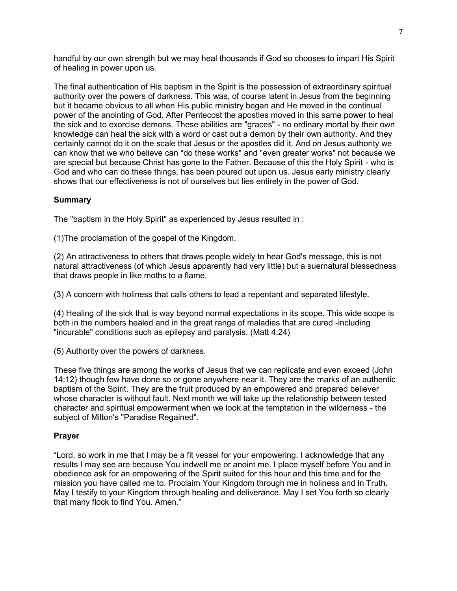handful by our own strength but we may heal thousands if God so chooses to impart His Spirit of healing in power upon us.

The final authentication of His baptism in the Spirit is the possession of extraordinary spiritual authority over the powers of darkness. This was, of course latent in Jesus from the beginning but it became obvious to all when His public ministry began and He moved in the continual power of the anointing of God. After Pentecost the apostles moved in this same power to heal the sick and to exorcise demons. These abilities are "graces" - no ordinary mortal by their own knowledge can heal the sick with a word or cast out a demon by their own authority. And they certainly cannot do it on the scale that Jesus or the apostles did it. And on Jesus authority we can know that we who believe can "do these works" and "even greater works" not because we are special but because Christ has gone to the Father. Because of this the Holy Spirit - who is God and who can do these things, has been poured out upon us. Jesus early ministry clearly shows that our effectiveness is not of ourselves but lies entirely in the power of God.

# **Summary**

The "baptism in the Holy Spirit" as experienced by Jesus resulted in :

(1)The proclamation of the gospel of the Kingdom.

(2) An attractiveness to others that draws people widely to hear God's message, this is not natural attractiveness (of which Jesus apparently had very little) but a suernatural blessedness that draws people in like moths to a flame.

(3) A concern with holiness that calls others to lead a repentant and separated lifestyle.

(4) Healing of the sick that is way beyond normal expectations in its scope. This wide scope is both in the numbers healed and in the great range of maladies that are cured -including "incurable" conditions such as epilepsy and paralysis. (Matt 4:24)

(5) Authority over the powers of darkness.

These five things are among the works of Jesus that we can replicate and even exceed (John 14:12) though few have done so or gone anywhere near it. They are the marks of an authentic baptism of the Spirit. They are the fruit produced by an empowered and prepared believer whose character is without fault. Next month we will take up the relationship between tested character and spiritual empowerment when we look at the temptation in the wilderness - the subject of Milton's "Paradise Regained".

### **Prayer**

"Lord, so work in me that I may be a fit vessel for your empowering. I acknowledge that any results I may see are because You indwell me or anoint me. I place myself before You and in obedience ask for an empowering of the Spirit suited for this hour and this time and for the mission you have called me to. Proclaim Your Kingdom through me in holiness and in Truth. May I testify to your Kingdom through healing and deliverance. May I set You forth so clearly that many flock to find You. Amen."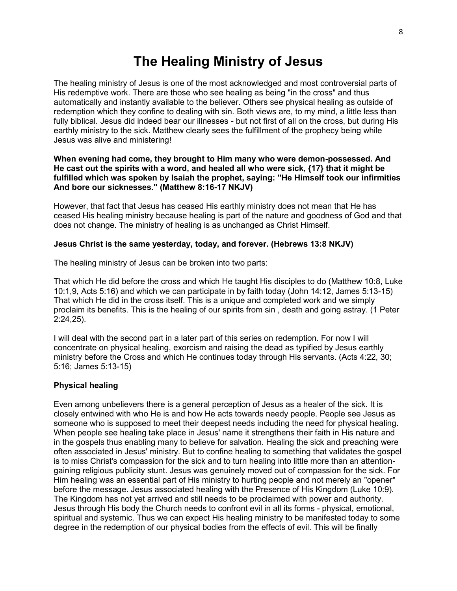# **The Healing Ministry of Jesus**

The healing ministry of Jesus is one of the most acknowledged and most controversial parts of His redemptive work. There are those who see healing as being "in the cross" and thus automatically and instantly available to the believer. Others see physical healing as outside of redemption which they confine to dealing with sin. Both views are, to my mind, a little less than fully biblical. Jesus did indeed bear our illnesses - but not first of all on the cross, but during His earthly ministry to the sick. Matthew clearly sees the fulfillment of the prophecy being while Jesus was alive and ministering!

### **When evening had come, they brought to Him many who were demon-possessed. And He cast out the spirits with a word, and healed all who were sick, {17} that it might be fulfilled which was spoken by Isaiah the prophet, saying: "He Himself took our infirmities And bore our sicknesses." (Matthew 8:16-17 NKJV)**

However, that fact that Jesus has ceased His earthly ministry does not mean that He has ceased His healing ministry because healing is part of the nature and goodness of God and that does not change. The ministry of healing is as unchanged as Christ Himself.

### **Jesus Christ is the same yesterday, today, and forever. (Hebrews 13:8 NKJV)**

The healing ministry of Jesus can be broken into two parts:

That which He did before the cross and which He taught His disciples to do (Matthew 10:8, Luke 10:1,9, Acts 5:16) and which we can participate in by faith today (John 14:12, James 5:13-15) That which He did in the cross itself. This is a unique and completed work and we simply proclaim its benefits. This is the healing of our spirits from sin , death and going astray. (1 Peter 2:24,25).

I will deal with the second part in a later part of this series on redemption. For now I will concentrate on physical healing, exorcism and raising the dead as typified by Jesus earthly ministry before the Cross and which He continues today through His servants. (Acts 4:22, 30; 5:16; James 5:13-15)

### **Physical healing**

Even among unbelievers there is a general perception of Jesus as a healer of the sick. It is closely entwined with who He is and how He acts towards needy people. People see Jesus as someone who is supposed to meet their deepest needs including the need for physical healing. When people see healing take place in Jesus' name it strengthens their faith in His nature and in the gospels thus enabling many to believe for salvation. Healing the sick and preaching were often associated in Jesus' ministry. But to confine healing to something that validates the gospel is to miss Christ's compassion for the sick and to turn healing into little more than an attentiongaining religious publicity stunt. Jesus was genuinely moved out of compassion for the sick. For Him healing was an essential part of His ministry to hurting people and not merely an "opener" before the message. Jesus associated healing with the Presence of His Kingdom (Luke 10:9). The Kingdom has not yet arrived and still needs to be proclaimed with power and authority. Jesus through His body the Church needs to confront evil in all its forms - physical, emotional, spiritual and systemic. Thus we can expect His healing ministry to be manifested today to some degree in the redemption of our physical bodies from the effects of evil. This will be finally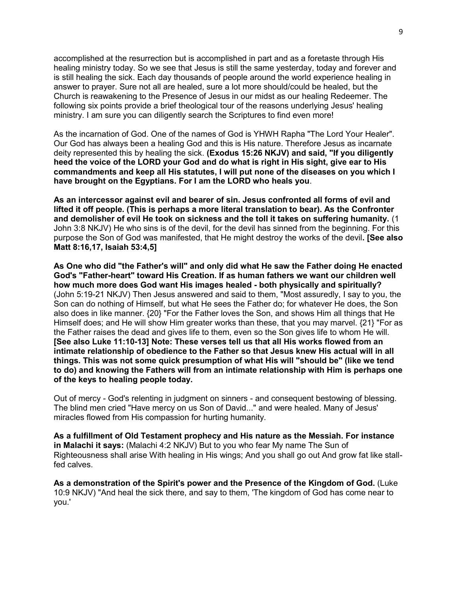accomplished at the resurrection but is accomplished in part and as a foretaste through His healing ministry today. So we see that Jesus is still the same yesterday, today and forever and is still healing the sick. Each day thousands of people around the world experience healing in answer to prayer. Sure not all are healed, sure a lot more should/could be healed, but the Church is reawakening to the Presence of Jesus in our midst as our healing Redeemer. The following six points provide a brief theological tour of the reasons underlying Jesus' healing ministry. I am sure you can diligently search the Scriptures to find even more!

As the incarnation of God. One of the names of God is YHWH Rapha "The Lord Your Healer". Our God has always been a healing God and this is His nature. Therefore Jesus as incarnate deity represented this by healing the sick. **(Exodus 15:26 NKJV) and said, "If you diligently heed the voice of the LORD your God and do what is right in His sight, give ear to His commandments and keep all His statutes, I will put none of the diseases on you which I have brought on the Egyptians. For I am the LORD who heals you**.

**As an intercessor against evil and bearer of sin. Jesus confronted all forms of evil and lifted it off people. (This is perhaps a more literal translation to bear). As the Confronter and demolisher of evil He took on sickness and the toll it takes on suffering humanity.** (1 John 3:8 NKJV) He who sins is of the devil, for the devil has sinned from the beginning. For this purpose the Son of God was manifested, that He might destroy the works of the devil**. [See also Matt 8:16,17, Isaiah 53:4,5]** 

**As One who did "the Father's will" and only did what He saw the Father doing He enacted God's "Father-heart" toward His Creation. If as human fathers we want our children well how much more does God want His images healed - both physically and spiritually?**  (John 5:19-21 NKJV) Then Jesus answered and said to them, "Most assuredly, I say to you, the Son can do nothing of Himself, but what He sees the Father do; for whatever He does, the Son also does in like manner. {20} "For the Father loves the Son, and shows Him all things that He Himself does; and He will show Him greater works than these, that you may marvel. {21} "For as the Father raises the dead and gives life to them, even so the Son gives life to whom He will. **[See also Luke 11:10-13] Note: These verses tell us that all His works flowed from an intimate relationship of obedience to the Father so that Jesus knew His actual will in all things. This was not some quick presumption of what His will "should be" (like we tend to do) and knowing the Fathers will from an intimate relationship with Him is perhaps one of the keys to healing people today.** 

Out of mercy - God's relenting in judgment on sinners - and consequent bestowing of blessing. The blind men cried "Have mercy on us Son of David..." and were healed. Many of Jesus' miracles flowed from His compassion for hurting humanity.

**As a fulfillment of Old Testament prophecy and His nature as the Messiah. For instance in Malachi it says:** (Malachi 4:2 NKJV) But to you who fear My name The Sun of Righteousness shall arise With healing in His wings; And you shall go out And grow fat like stallfed calves.

**As a demonstration of the Spirit's power and the Presence of the Kingdom of God.** (Luke 10:9 NKJV) "And heal the sick there, and say to them, 'The kingdom of God has come near to you.'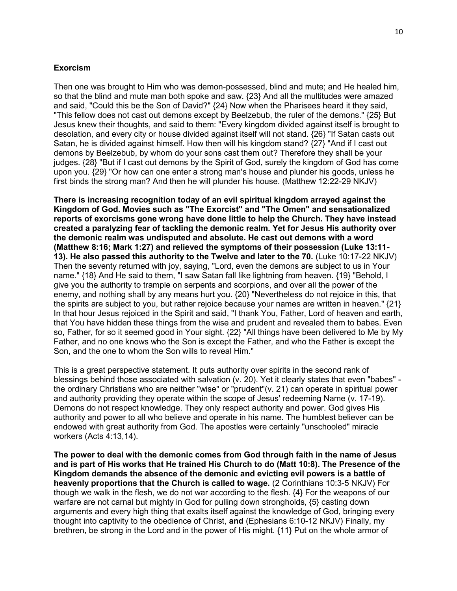### **Exorcism**

Then one was brought to Him who was demon-possessed, blind and mute; and He healed him, so that the blind and mute man both spoke and saw. {23} And all the multitudes were amazed and said, "Could this be the Son of David?" {24} Now when the Pharisees heard it they said, "This fellow does not cast out demons except by Beelzebub, the ruler of the demons." {25} But Jesus knew their thoughts, and said to them: "Every kingdom divided against itself is brought to desolation, and every city or house divided against itself will not stand. {26} "If Satan casts out Satan, he is divided against himself. How then will his kingdom stand? {27} "And if I cast out demons by Beelzebub, by whom do your sons cast them out? Therefore they shall be your judges. {28} "But if I cast out demons by the Spirit of God, surely the kingdom of God has come upon you. {29} "Or how can one enter a strong man's house and plunder his goods, unless he first binds the strong man? And then he will plunder his house. (Matthew 12:22-29 NKJV)

**There is increasing recognition today of an evil spiritual kingdom arrayed against the Kingdom of God. Movies such as "The Exorcist" and "The Omen" and sensationalized reports of exorcisms gone wrong have done little to help the Church. They have instead created a paralyzing fear of tackling the demonic realm. Yet for Jesus His authority over the demonic realm was undisputed and absolute. He cast out demons with a word (Matthew 8:16; Mark 1:27) and relieved the symptoms of their possession (Luke 13:11- 13). He also passed this authority to the Twelve and later to the 70.** (Luke 10:17-22 NKJV) Then the seventy returned with joy, saying, "Lord, even the demons are subject to us in Your name." {18} And He said to them, "I saw Satan fall like lightning from heaven. {19} "Behold, I give you the authority to trample on serpents and scorpions, and over all the power of the enemy, and nothing shall by any means hurt you. {20} "Nevertheless do not rejoice in this, that the spirits are subject to you, but rather rejoice because your names are written in heaven." {21} In that hour Jesus rejoiced in the Spirit and said, "I thank You, Father, Lord of heaven and earth, that You have hidden these things from the wise and prudent and revealed them to babes. Even so, Father, for so it seemed good in Your sight. {22} "All things have been delivered to Me by My Father, and no one knows who the Son is except the Father, and who the Father is except the Son, and the one to whom the Son wills to reveal Him."

This is a great perspective statement. It puts authority over spirits in the second rank of blessings behind those associated with salvation (v. 20). Yet it clearly states that even "babes" the ordinary Christians who are neither "wise" or "prudent"(v. 21) can operate in spiritual power and authority providing they operate within the scope of Jesus' redeeming Name (v. 17-19). Demons do not respect knowledge. They only respect authority and power. God gives His authority and power to all who believe and operate in his name. The humblest believer can be endowed with great authority from God. The apostles were certainly "unschooled" miracle workers (Acts 4:13,14).

**The power to deal with the demonic comes from God through faith in the name of Jesus and is part of His works that He trained His Church to do (Matt 10:8). The Presence of the Kingdom demands the absence of the demonic and evicting evil powers is a battle of heavenly proportions that the Church is called to wage.** (2 Corinthians 10:3-5 NKJV) For though we walk in the flesh, we do not war according to the flesh. {4} For the weapons of our warfare are not carnal but mighty in God for pulling down strongholds, {5} casting down arguments and every high thing that exalts itself against the knowledge of God, bringing every thought into captivity to the obedience of Christ, **and** (Ephesians 6:10-12 NKJV) Finally, my brethren, be strong in the Lord and in the power of His might. {11} Put on the whole armor of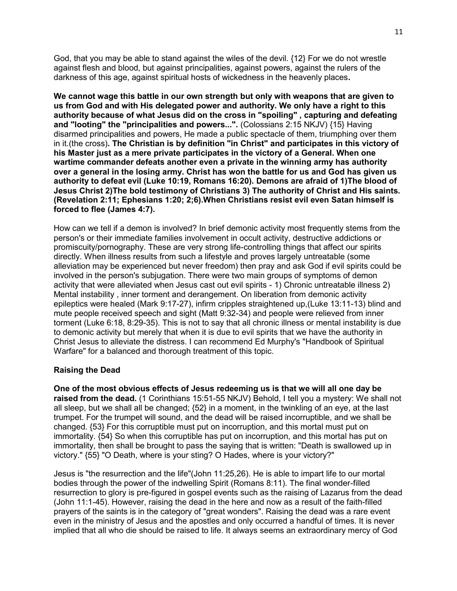God, that you may be able to stand against the wiles of the devil. {12} For we do not wrestle against flesh and blood, but against principalities, against powers, against the rulers of the darkness of this age, against spiritual hosts of wickedness in the heavenly places**.** 

**We cannot wage this battle in our own strength but only with weapons that are given to us from God and with His delegated power and authority. We only have a right to this authority because of what Jesus did on the cross in "spoiling" , capturing and defeating and "looting" the "principalities and powers...".** (Colossians 2:15 NKJV) {15} Having disarmed principalities and powers, He made a public spectacle of them, triumphing over them in it.(the cross)**. The Christian is by definition "in Christ" and participates in this victory of his Master just as a mere private participates in the victory of a General. When one wartime commander defeats another even a private in the winning army has authority over a general in the losing army. Christ has won the battle for us and God has given us authority to defeat evil (Luke 10:19, Romans 16:20). Demons are afraid of 1)The blood of Jesus Christ 2)The bold testimony of Christians 3) The authority of Christ and His saints. (Revelation 2:11; Ephesians 1:20; 2;6).When Christians resist evil even Satan himself is forced to flee (James 4:7).** 

How can we tell if a demon is involved? In brief demonic activity most frequently stems from the person's or their immediate families involvement in occult activity, destructive addictions or promiscuity/pornography. These are very strong life-controlling things that affect our spirits directly. When illness results from such a lifestyle and proves largely untreatable (some alleviation may be experienced but never freedom) then pray and ask God if evil spirits could be involved in the person's subjugation. There were two main groups of symptoms of demon activity that were alleviated when Jesus cast out evil spirits - 1) Chronic untreatable illness 2) Mental instability , inner torment and derangement. On liberation from demonic activity epileptics were healed (Mark 9:17-27), infirm cripples straightened up,(Luke 13:11-13) blind and mute people received speech and sight (Matt 9:32-34) and people were relieved from inner torment (Luke 6:18, 8:29-35). This is not to say that all chronic illness or mental instability is due to demonic activity but merely that when it is due to evil spirits that we have the authority in Christ Jesus to alleviate the distress. I can recommend Ed Murphy's "Handbook of Spiritual Warfare" for a balanced and thorough treatment of this topic.

# **Raising the Dead**

**One of the most obvious effects of Jesus redeeming us is that we will all one day be raised from the dead.** (1 Corinthians 15:51-55 NKJV) Behold, I tell you a mystery: We shall not all sleep, but we shall all be changed; {52} in a moment, in the twinkling of an eye, at the last trumpet. For the trumpet will sound, and the dead will be raised incorruptible, and we shall be changed. {53} For this corruptible must put on incorruption, and this mortal must put on immortality. {54} So when this corruptible has put on incorruption, and this mortal has put on immortality, then shall be brought to pass the saying that is written: "Death is swallowed up in victory." {55} "O Death, where is your sting? O Hades, where is your victory?"

Jesus is "the resurrection and the life"(John 11:25,26). He is able to impart life to our mortal bodies through the power of the indwelling Spirit (Romans 8:11). The final wonder-filled resurrection to glory is pre-figured in gospel events such as the raising of Lazarus from the dead (John 11:1-45). However, raising the dead in the here and now as a result of the faith-filled prayers of the saints is in the category of "great wonders". Raising the dead was a rare event even in the ministry of Jesus and the apostles and only occurred a handful of times. It is never implied that all who die should be raised to life. It always seems an extraordinary mercy of God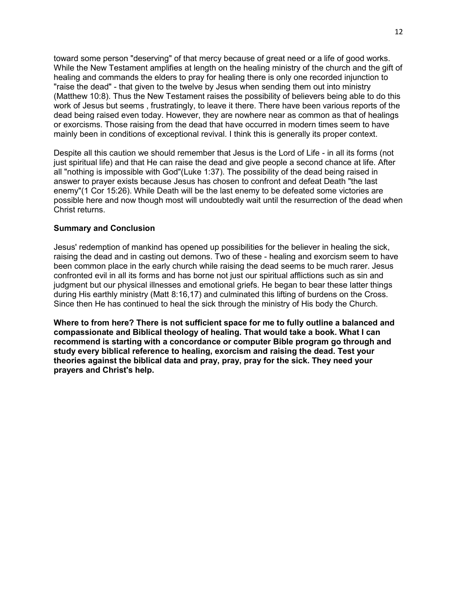toward some person "deserving" of that mercy because of great need or a life of good works. While the New Testament amplifies at length on the healing ministry of the church and the gift of healing and commands the elders to pray for healing there is only one recorded injunction to "raise the dead" - that given to the twelve by Jesus when sending them out into ministry (Matthew 10:8). Thus the New Testament raises the possibility of believers being able to do this work of Jesus but seems , frustratingly, to leave it there. There have been various reports of the dead being raised even today. However, they are nowhere near as common as that of healings or exorcisms. Those raising from the dead that have occurred in modern times seem to have mainly been in conditions of exceptional revival. I think this is generally its proper context.

Despite all this caution we should remember that Jesus is the Lord of Life - in all its forms (not just spiritual life) and that He can raise the dead and give people a second chance at life. After all "nothing is impossible with God"(Luke 1:37). The possibility of the dead being raised in answer to prayer exists because Jesus has chosen to confront and defeat Death "the last enemy"(1 Cor 15:26). While Death will be the last enemy to be defeated some victories are possible here and now though most will undoubtedly wait until the resurrection of the dead when Christ returns.

### **Summary and Conclusion**

Jesus' redemption of mankind has opened up possibilities for the believer in healing the sick, raising the dead and in casting out demons. Two of these - healing and exorcism seem to have been common place in the early church while raising the dead seems to be much rarer. Jesus confronted evil in all its forms and has borne not just our spiritual afflictions such as sin and judgment but our physical illnesses and emotional griefs. He began to bear these latter things during His earthly ministry (Matt 8:16,17) and culminated this lifting of burdens on the Cross. Since then He has continued to heal the sick through the ministry of His body the Church.

**Where to from here? There is not sufficient space for me to fully outline a balanced and compassionate and Biblical theology of healing. That would take a book. What I can recommend is starting with a concordance or computer Bible program go through and study every biblical reference to healing, exorcism and raising the dead. Test your theories against the biblical data and pray, pray, pray for the sick. They need your prayers and Christ's help.**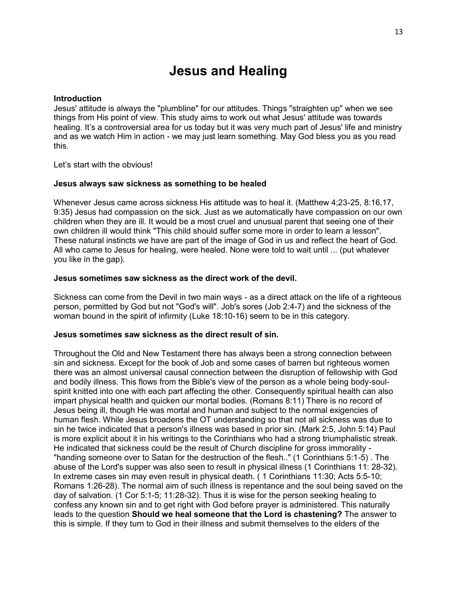# **Jesus and Healing**

### **Introduction**

Jesus' attitude is always the "plumbline" for our attitudes. Things "straighten up" when we see things from His point of view. This study aims to work out what Jesus' attitude was towards healing. It's a controversial area for us today but it was very much part of Jesus' life and ministry and as we watch Him in action - we may just learn something. May God bless you as you read this.

Let's start with the obvious!

### **Jesus always saw sickness as something to be healed**

Whenever Jesus came across sickness His attitude was to heal it. (Matthew 4;23-25, 8:16,17, 9:35) Jesus had compassion on the sick. Just as we automatically have compassion on our own children when they are ill. It would be a most cruel and unusual parent that seeing one of their own children ill would think "This child should suffer some more in order to learn a lesson". These natural instincts we have are part of the image of God in us and reflect the heart of God. All who came to Jesus for healing, were healed. None were told to wait until ... (put whatever you like in the gap).

### **Jesus sometimes saw sickness as the direct work of the devil.**

Sickness can come from the Devil in two main ways - as a direct attack on the life of a righteous person, permitted by God but not "God's will". Job's sores (Job 2:4-7) and the sickness of the woman bound in the spirit of infirmity (Luke 18:10-16) seem to be in this category.

### **Jesus sometimes saw sickness as the direct result of sin.**

Throughout the Old and New Testament there has always been a strong connection between sin and sickness. Except for the book of Job and some cases of barren but righteous women there was an almost universal causal connection between the disruption of fellowship with God and bodily illness. This flows from the Bible's view of the person as a whole being body-soulspirit knitted into one with each part affecting the other. Consequently spiritual health can also impart physical health and quicken our mortal bodies. (Romans 8:11) There is no record of Jesus being ill, though He was mortal and human and subject to the normal exigencies of human flesh. While Jesus broadens the OT understanding so that not all sickness was due to sin he twice indicated that a person's illness was based in prior sin. (Mark 2:5, John 5:14) Paul is more explicit about it in his writings to the Corinthians who had a strong triumphalistic streak. He indicated that sickness could be the result of Church discipline for gross immorality - "handing someone over to Satan for the destruction of the flesh.." (1 Corinthians 5:1-5) . The abuse of the Lord's supper was also seen to result in physical illness (1 Corinthians 11: 28-32). In extreme cases sin may even result in physical death. ( 1 Corinthians 11:30; Acts 5:5-10; Romans 1:26-28). The normal aim of such illness is repentance and the soul being saved on the day of salvation. (1 Cor 5:1-5; 11:28-32). Thus it is wise for the person seeking healing to confess any known sin and to get right with God before prayer is administered. This naturally leads to the question **Should we heal someone that the Lord is chastening?** The answer to this is simple. If they turn to God in their illness and submit themselves to the elders of the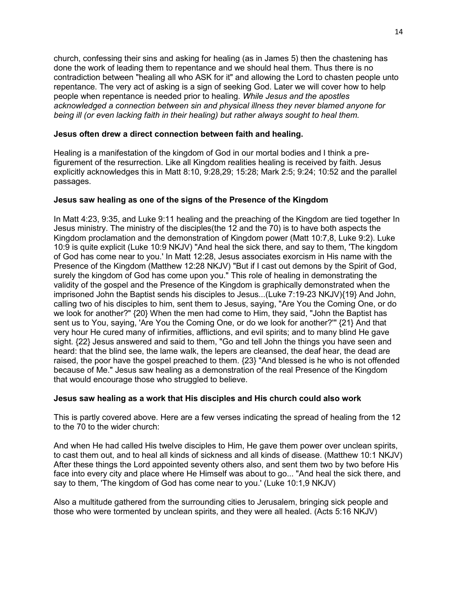church, confessing their sins and asking for healing (as in James 5) then the chastening has done the work of leading them to repentance and we should heal them. Thus there is no contradiction between "healing all who ASK for it" and allowing the Lord to chasten people unto repentance. The very act of asking is a sign of seeking God. Later we will cover how to help people when repentance is needed prior to healing. *While Jesus and the apostles acknowledged a connection between sin and physical illness they never blamed anyone for being ill (or even lacking faith in their healing) but rather always sought to heal them.* 

### **Jesus often drew a direct connection between faith and healing.**

Healing is a manifestation of the kingdom of God in our mortal bodies and I think a prefigurement of the resurrection. Like all Kingdom realities healing is received by faith. Jesus explicitly acknowledges this in Matt 8:10, 9:28,29; 15:28; Mark 2:5; 9:24; 10:52 and the parallel passages.

### **Jesus saw healing as one of the signs of the Presence of the Kingdom**

In Matt 4:23, 9:35, and Luke 9:11 healing and the preaching of the Kingdom are tied together In Jesus ministry. The ministry of the disciples(the 12 and the 70) is to have both aspects the Kingdom proclamation and the demonstration of Kingdom power (Matt 10:7,8, Luke 9:2). Luke 10:9 is quite explicit (Luke 10:9 NKJV) "And heal the sick there, and say to them, 'The kingdom of God has come near to you.' In Matt 12:28, Jesus associates exorcism in His name with the Presence of the Kingdom (Matthew 12:28 NKJV) "But if I cast out demons by the Spirit of God, surely the kingdom of God has come upon you." This role of healing in demonstrating the validity of the gospel and the Presence of the Kingdom is graphically demonstrated when the imprisoned John the Baptist sends his disciples to Jesus...(Luke 7:19-23 NKJV){19} And John, calling two of his disciples to him, sent them to Jesus, saying, "Are You the Coming One, or do we look for another?" {20} When the men had come to Him, they said, "John the Baptist has sent us to You, saying, 'Are You the Coming One, or do we look for another?'" {21} And that very hour He cured many of infirmities, afflictions, and evil spirits; and to many blind He gave sight. {22} Jesus answered and said to them, "Go and tell John the things you have seen and heard: that the blind see, the lame walk, the lepers are cleansed, the deaf hear, the dead are raised, the poor have the gospel preached to them. {23} "And blessed is he who is not offended because of Me." Jesus saw healing as a demonstration of the real Presence of the Kingdom that would encourage those who struggled to believe.

# **Jesus saw healing as a work that His disciples and His church could also work**

This is partly covered above. Here are a few verses indicating the spread of healing from the 12 to the 70 to the wider church:

And when He had called His twelve disciples to Him, He gave them power over unclean spirits, to cast them out, and to heal all kinds of sickness and all kinds of disease. (Matthew 10:1 NKJV) After these things the Lord appointed seventy others also, and sent them two by two before His face into every city and place where He Himself was about to go... "And heal the sick there, and say to them, 'The kingdom of God has come near to you.' (Luke 10:1,9 NKJV)

Also a multitude gathered from the surrounding cities to Jerusalem, bringing sick people and those who were tormented by unclean spirits, and they were all healed. (Acts 5:16 NKJV)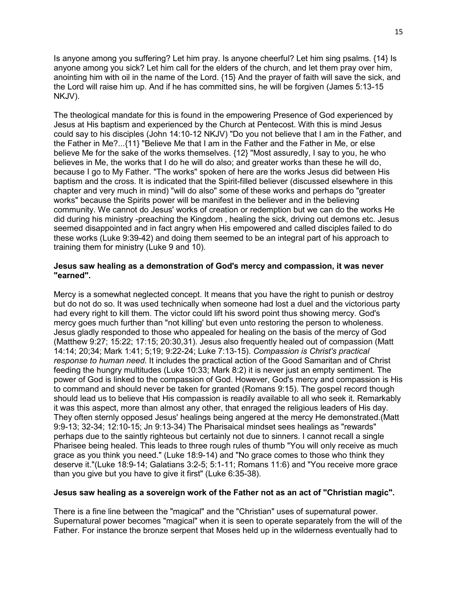Is anyone among you suffering? Let him pray. Is anyone cheerful? Let him sing psalms. {14} Is anyone among you sick? Let him call for the elders of the church, and let them pray over him, anointing him with oil in the name of the Lord. {15} And the prayer of faith will save the sick, and the Lord will raise him up. And if he has committed sins, he will be forgiven (James 5:13-15 NKJV).

The theological mandate for this is found in the empowering Presence of God experienced by Jesus at His baptism and experienced by the Church at Pentecost. With this is mind Jesus could say to his disciples (John 14:10-12 NKJV) "Do you not believe that I am in the Father, and the Father in Me?...{11} "Believe Me that I am in the Father and the Father in Me, or else believe Me for the sake of the works themselves. {12} "Most assuredly, I say to you, he who believes in Me, the works that I do he will do also; and greater works than these he will do, because I go to My Father. "The works" spoken of here are the works Jesus did between His baptism and the cross. It is indicated that the Spirit-filled believer (discussed elsewhere in this chapter and very much in mind) "will do also" some of these works and perhaps do "greater works" because the Spirits power will be manifest in the believer and in the believing community. We cannot do Jesus' works of creation or redemption but we can do the works He did during his ministry -preaching the Kingdom , healing the sick, driving out demons etc. Jesus seemed disappointed and in fact angry when His empowered and called disciples failed to do these works (Luke 9:39-42) and doing them seemed to be an integral part of his approach to training them for ministry (Luke 9 and 10).

### **Jesus saw healing as a demonstration of God's mercy and compassion, it was never "earned".**

Mercy is a somewhat neglected concept. It means that you have the right to punish or destroy but do not do so. It was used technically when someone had lost a duel and the victorious party had every right to kill them. The victor could lift his sword point thus showing mercy. God's mercy goes much further than "not killing' but even unto restoring the person to wholeness. Jesus gladly responded to those who appealed for healing on the basis of the mercy of God (Matthew 9:27; 15:22; 17:15; 20:30,31). Jesus also frequently healed out of compassion (Matt 14:14; 20;34; Mark 1:41; 5;19; 9:22-24; Luke 7:13-15). *Compassion is Christ's practical response to human need*. It includes the practical action of the Good Samaritan and of Christ feeding the hungry multitudes (Luke 10:33; Mark 8:2) it is never just an empty sentiment. The power of God is linked to the compassion of God. However, God's mercy and compassion is His to command and should never be taken for granted (Romans 9:15). The gospel record though should lead us to believe that His compassion is readily available to all who seek it. Remarkably it was this aspect, more than almost any other, that enraged the religious leaders of His day. They often sternly opposed Jesus' healings being angered at the mercy He demonstrated.(Matt 9:9-13; 32-34; 12:10-15; Jn 9:13-34) The Pharisaical mindset sees healings as "rewards" perhaps due to the saintly righteous but certainly not due to sinners. I cannot recall a single Pharisee being healed. This leads to three rough rules of thumb "You will only receive as much grace as you think you need." (Luke 18:9-14) and "No grace comes to those who think they deserve it."(Luke 18:9-14; Galatians 3:2-5; 5:1-11; Romans 11:6) and "You receive more grace than you give but you have to give it first" (Luke 6:35-38).

### **Jesus saw healing as a sovereign work of the Father not as an act of "Christian magic".**

There is a fine line between the "magical" and the "Christian" uses of supernatural power. Supernatural power becomes "magical" when it is seen to operate separately from the will of the Father. For instance the bronze serpent that Moses held up in the wilderness eventually had to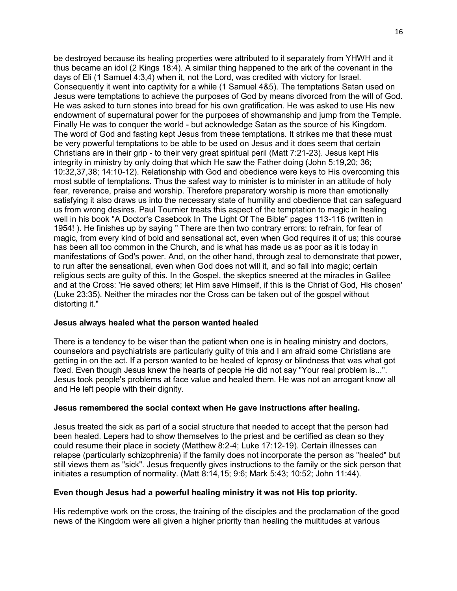be destroyed because its healing properties were attributed to it separately from YHWH and it thus became an idol (2 Kings 18:4). A similar thing happened to the ark of the covenant in the days of Eli (1 Samuel 4:3,4) when it, not the Lord, was credited with victory for Israel. Consequently it went into captivity for a while (1 Samuel 4&5). The temptations Satan used on Jesus were temptations to achieve the purposes of God by means divorced from the will of God. He was asked to turn stones into bread for his own gratification. He was asked to use His new endowment of supernatural power for the purposes of showmanship and jump from the Temple. Finally He was to conquer the world - but acknowledge Satan as the source of his Kingdom. The word of God and fasting kept Jesus from these temptations. It strikes me that these must be very powerful temptations to be able to be used on Jesus and it does seem that certain Christians are in their grip - to their very great spiritual peril (Matt 7:21-23). Jesus kept His integrity in ministry by only doing that which He saw the Father doing (John 5:19,20; 36; 10:32,37,38; 14:10-12). Relationship with God and obedience were keys to His overcoming this most subtle of temptations. Thus the safest way to minister is to minister in an attitude of holy fear, reverence, praise and worship. Therefore preparatory worship is more than emotionally satisfying it also draws us into the necessary state of humility and obedience that can safeguard us from wrong desires. Paul Tournier treats this aspect of the temptation to magic in healing well in his book "A Doctor's Casebook In The Light Of The Bible" pages 113-116 (written in 1954! ). He finishes up by saying " There are then two contrary errors: to refrain, for fear of magic, from every kind of bold and sensational act, even when God requires it of us; this course has been all too common in the Church, and is what has made us as poor as it is today in manifestations of God's power. And, on the other hand, through zeal to demonstrate that power, to run after the sensational, even when God does not will it, and so fall into magic; certain religious sects are guilty of this. In the Gospel, the skeptics sneered at the miracles in Galilee and at the Cross: 'He saved others; let Him save Himself, if this is the Christ of God, His chosen' (Luke 23:35). Neither the miracles nor the Cross can be taken out of the gospel without distorting it."

# **Jesus always healed what the person wanted healed**

There is a tendency to be wiser than the patient when one is in healing ministry and doctors, counselors and psychiatrists are particularly guilty of this and I am afraid some Christians are getting in on the act. If a person wanted to be healed of leprosy or blindness that was what got fixed. Even though Jesus knew the hearts of people He did not say "Your real problem is...". Jesus took people's problems at face value and healed them. He was not an arrogant know all and He left people with their dignity.

# **Jesus remembered the social context when He gave instructions after healing.**

Jesus treated the sick as part of a social structure that needed to accept that the person had been healed. Lepers had to show themselves to the priest and be certified as clean so they could resume their place in society (Matthew 8:2-4; Luke 17:12-19). Certain illnesses can relapse (particularly schizophrenia) if the family does not incorporate the person as "healed" but still views them as "sick". Jesus frequently gives instructions to the family or the sick person that initiates a resumption of normality. (Matt 8:14,15; 9:6; Mark 5:43; 10:52; John 11:44).

# **Even though Jesus had a powerful healing ministry it was not His top priority.**

His redemptive work on the cross, the training of the disciples and the proclamation of the good news of the Kingdom were all given a higher priority than healing the multitudes at various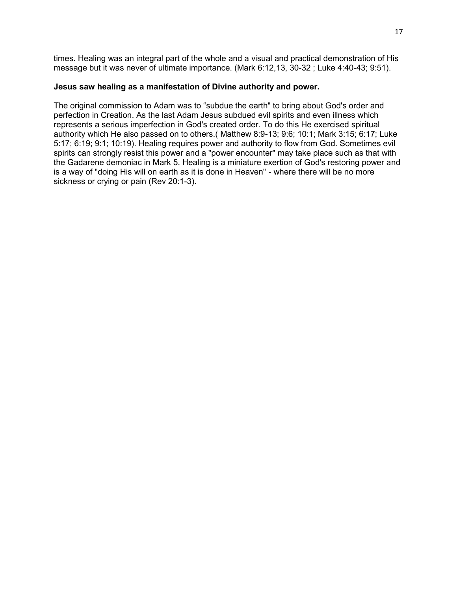times. Healing was an integral part of the whole and a visual and practical demonstration of His message but it was never of ultimate importance. (Mark 6:12,13, 30-32 ; Luke 4:40-43; 9:51).

### **Jesus saw healing as a manifestation of Divine authority and power.**

The original commission to Adam was to "subdue the earth" to bring about God's order and perfection in Creation. As the last Adam Jesus subdued evil spirits and even illness which represents a serious imperfection in God's created order. To do this He exercised spiritual authority which He also passed on to others.( Matthew 8:9-13; 9:6; 10:1; Mark 3:15; 6:17; Luke 5:17; 6:19; 9:1; 10:19). Healing requires power and authority to flow from God. Sometimes evil spirits can strongly resist this power and a "power encounter" may take place such as that with the Gadarene demoniac in Mark 5. Healing is a miniature exertion of God's restoring power and is a way of "doing His will on earth as it is done in Heaven" - where there will be no more sickness or crying or pain (Rev 20:1-3).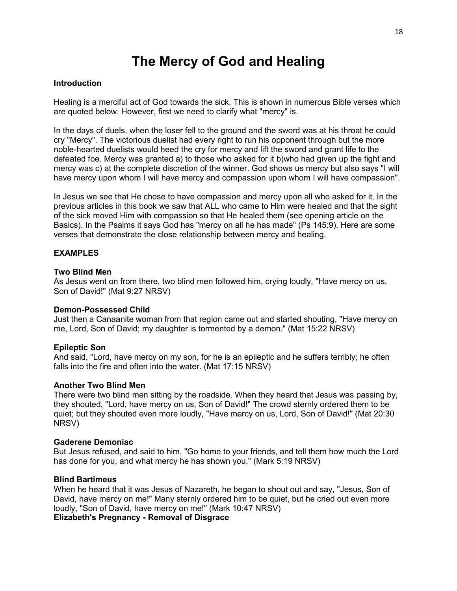# **The Mercy of God and Healing**

### **Introduction**

Healing is a merciful act of God towards the sick. This is shown in numerous Bible verses which are quoted below. However, first we need to clarify what "mercy" is.

In the days of duels, when the loser fell to the ground and the sword was at his throat he could cry "Mercy". The victorious duelist had every right to run his opponent through but the more noble-hearted duelists would heed the cry for mercy and lift the sword and grant life to the defeated foe. Mercy was granted a) to those who asked for it b)who had given up the fight and mercy was c) at the complete discretion of the winner. God shows us mercy but also says "I will have mercy upon whom I will have mercy and compassion upon whom I will have compassion".

In Jesus we see that He chose to have compassion and mercy upon all who asked for it. In the previous articles in this book we saw that ALL who came to Him were healed and that the sight of the sick moved Him with compassion so that He healed them (see opening article on the Basics). In the Psalms it says God has "mercy on all he has made" (Ps 145:9). Here are some verses that demonstrate the close relationship between mercy and healing.

### **EXAMPLES**

#### **Two Blind Men**

As Jesus went on from there, two blind men followed him, crying loudly, "Have mercy on us, Son of David!" (Mat 9:27 NRSV)

### **Demon-Possessed Child**

Just then a Canaanite woman from that region came out and started shouting, "Have mercy on me, Lord, Son of David; my daughter is tormented by a demon." (Mat 15:22 NRSV)

#### **Epileptic Son**

And said, "Lord, have mercy on my son, for he is an epileptic and he suffers terribly; he often falls into the fire and often into the water. (Mat 17:15 NRSV)

### **Another Two Blind Men**

There were two blind men sitting by the roadside. When they heard that Jesus was passing by, they shouted, "Lord, have mercy on us, Son of David!" The crowd sternly ordered them to be quiet; but they shouted even more loudly, "Have mercy on us, Lord, Son of David!" (Mat 20:30 NRSV)

#### **Gaderene Demoniac**

But Jesus refused, and said to him, "Go home to your friends, and tell them how much the Lord has done for you, and what mercy he has shown you." (Mark 5:19 NRSV)

### **Blind Bartimeus**

When he heard that it was Jesus of Nazareth, he began to shout out and say, "Jesus, Son of David, have mercy on me!" Many sternly ordered him to be quiet, but he cried out even more loudly, "Son of David, have mercy on me!" (Mark 10:47 NRSV) **Elizabeth's Pregnancy - Removal of Disgrace**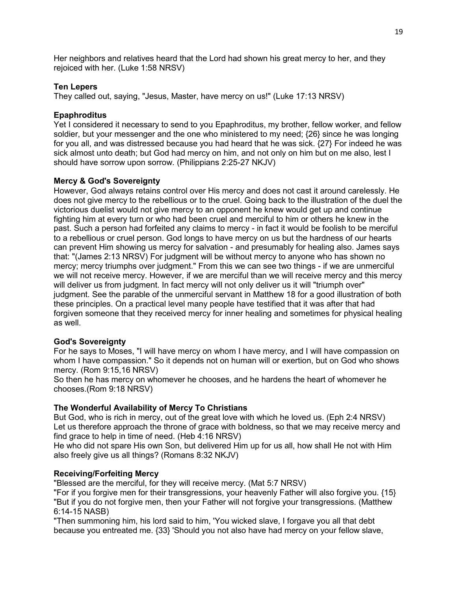Her neighbors and relatives heard that the Lord had shown his great mercy to her, and they rejoiced with her. (Luke 1:58 NRSV)

### **Ten Lepers**

They called out, saying, "Jesus, Master, have mercy on us!" (Luke 17:13 NRSV)

# **Epaphroditus**

Yet I considered it necessary to send to you Epaphroditus, my brother, fellow worker, and fellow soldier, but your messenger and the one who ministered to my need; {26} since he was longing for you all, and was distressed because you had heard that he was sick. {27} For indeed he was sick almost unto death; but God had mercy on him, and not only on him but on me also, lest I should have sorrow upon sorrow. (Philippians 2:25-27 NKJV)

# **Mercy & God's Sovereignty**

However, God always retains control over His mercy and does not cast it around carelessly. He does not give mercy to the rebellious or to the cruel. Going back to the illustration of the duel the victorious duelist would not give mercy to an opponent he knew would get up and continue fighting him at every turn or who had been cruel and merciful to him or others he knew in the past. Such a person had forfeited any claims to mercy - in fact it would be foolish to be merciful to a rebellious or cruel person. God longs to have mercy on us but the hardness of our hearts can prevent Him showing us mercy for salvation - and presumably for healing also. James says that: "(James 2:13 NRSV) For judgment will be without mercy to anyone who has shown no mercy; mercy triumphs over judgment." From this we can see two things - if we are unmerciful we will not receive mercy. However, if we are merciful than we will receive mercy and this mercy will deliver us from judgment. In fact mercy will not only deliver us it will "triumph over" judgment. See the parable of the unmerciful servant in Matthew 18 for a good illustration of both these principles. On a practical level many people have testified that it was after that had forgiven someone that they received mercy for inner healing and sometimes for physical healing as well.

# **God's Sovereignty**

For he says to Moses, "I will have mercy on whom I have mercy, and I will have compassion on whom I have compassion." So it depends not on human will or exertion, but on God who shows mercy. (Rom 9:15,16 NRSV)

So then he has mercy on whomever he chooses, and he hardens the heart of whomever he chooses.(Rom 9:18 NRSV)

### **The Wonderful Availability of Mercy To Christians**

But God, who is rich in mercy, out of the great love with which he loved us. (Eph 2:4 NRSV) Let us therefore approach the throne of grace with boldness, so that we may receive mercy and find grace to help in time of need. (Heb 4:16 NRSV)

He who did not spare His own Son, but delivered Him up for us all, how shall He not with Him also freely give us all things? (Romans 8:32 NKJV)

### **Receiving/Forfeiting Mercy**

"Blessed are the merciful, for they will receive mercy. (Mat 5:7 NRSV)

"For if you forgive men for their transgressions, your heavenly Father will also forgive you. {15} "But if you do not forgive men, then your Father will not forgive your transgressions. (Matthew 6:14-15 NASB)

"Then summoning him, his lord said to him, 'You wicked slave, I forgave you all that debt because you entreated me. {33} 'Should you not also have had mercy on your fellow slave,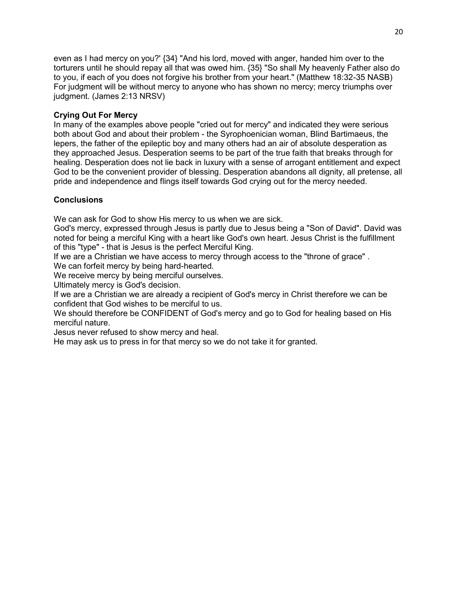even as I had mercy on you?' {34} "And his lord, moved with anger, handed him over to the torturers until he should repay all that was owed him. {35} "So shall My heavenly Father also do to you, if each of you does not forgive his brother from your heart." (Matthew 18:32-35 NASB) For judgment will be without mercy to anyone who has shown no mercy; mercy triumphs over judgment. (James 2:13 NRSV)

# **Crying Out For Mercy**

In many of the examples above people "cried out for mercy" and indicated they were serious both about God and about their problem - the Syrophoenician woman, Blind Bartimaeus, the lepers, the father of the epileptic boy and many others had an air of absolute desperation as they approached Jesus. Desperation seems to be part of the true faith that breaks through for healing. Desperation does not lie back in luxury with a sense of arrogant entitlement and expect God to be the convenient provider of blessing. Desperation abandons all dignity, all pretense, all pride and independence and flings itself towards God crying out for the mercy needed.

# **Conclusions**

We can ask for God to show His mercy to us when we are sick.

God's mercy, expressed through Jesus is partly due to Jesus being a "Son of David". David was noted for being a merciful King with a heart like God's own heart. Jesus Christ is the fulfillment of this "type" - that is Jesus is the perfect Merciful King.

If we are a Christian we have access to mercy through access to the "throne of grace" .

We can forfeit mercy by being hard-hearted.

We receive mercy by being merciful ourselves.

Ultimately mercy is God's decision.

If we are a Christian we are already a recipient of God's mercy in Christ therefore we can be confident that God wishes to be merciful to us.

We should therefore be CONFIDENT of God's mercy and go to God for healing based on His merciful nature.

Jesus never refused to show mercy and heal.

He may ask us to press in for that mercy so we do not take it for granted.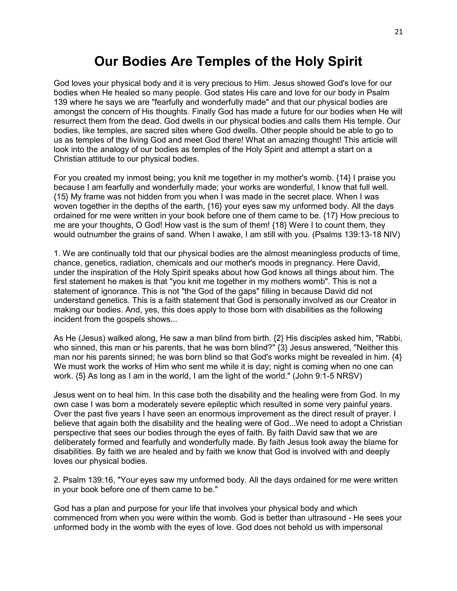# **Our Bodies Are Temples of the Holy Spirit**

God loves your physical body and it is very precious to Him. Jesus showed God's love for our bodies when He healed so many people. God states His care and love for our body in Psalm 139 where he says we are "fearfully and wonderfully made" and that our physical bodies are amongst the concern of His thoughts. Finally God has made a future for our bodies when He will resurrect them from the dead. God dwells in our physical bodies and calls them His temple. Our bodies, like temples, are sacred sites where God dwells. Other people should be able to go to us as temples of the living God and meet God there! What an amazing thought! This article will look into the analogy of our bodies as temples of the Holy Spirit and attempt a start on a Christian attitude to our physical bodies.

For you created my inmost being; you knit me together in my mother's womb. {14} I praise you because I am fearfully and wonderfully made; your works are wonderful, I know that full well. {15} My frame was not hidden from you when I was made in the secret place. When I was woven together in the depths of the earth, {16} your eyes saw my unformed body. All the days ordained for me were written in your book before one of them came to be. {17} How precious to me are your thoughts, O God! How vast is the sum of them! {18} Were I to count them, they would outnumber the grains of sand. When I awake, I am still with you. (Psalms 139:13-18 NIV)

1. We are continually told that our physical bodies are the almost meaningless products of time, chance, genetics, radiation, chemicals and our mother's moods in pregnancy. Here David, under the inspiration of the Holy Spirit speaks about how God knows all things about him. The first statement he makes is that "you knit me together in my mothers womb". This is not a statement of ignorance. This is not "the God of the gaps" filling in because David did not understand genetics. This is a faith statement that God is personally involved as our Creator in making our bodies. And, yes, this does apply to those born with disabilities as the following incident from the gospels shows...

As He (Jesus) walked along, He saw a man blind from birth. {2} His disciples asked him, "Rabbi, who sinned, this man or his parents, that he was born blind?" {3} Jesus answered, "Neither this man nor his parents sinned; he was born blind so that God's works might be revealed in him.  $\{4\}$ We must work the works of Him who sent me while it is day; night is coming when no one can work. {5} As long as I am in the world, I am the light of the world." (John 9:1-5 NRSV)

Jesus went on to heal him. In this case both the disability and the healing were from God. In my own case I was born a moderately severe epileptic which resulted in some very painful years. Over the past five years I have seen an enormous improvement as the direct result of prayer. I believe that again both the disability and the healing were of God...We need to adopt a Christian perspective that sees our bodies through the eyes of faith. By faith David saw that we are deliberately formed and fearfully and wonderfully made. By faith Jesus took away the blame for disabilities. By faith we are healed and by faith we know that God is involved with and deeply loves our physical bodies.

2. Psalm 139:16, "Your eyes saw my unformed body. All the days ordained for me were written in your book before one of them came to be."

God has a plan and purpose for your life that involves your physical body and which commenced from when you were within the womb. God is better than ultrasound - He sees your unformed body in the womb with the eyes of love. God does not behold us with impersonal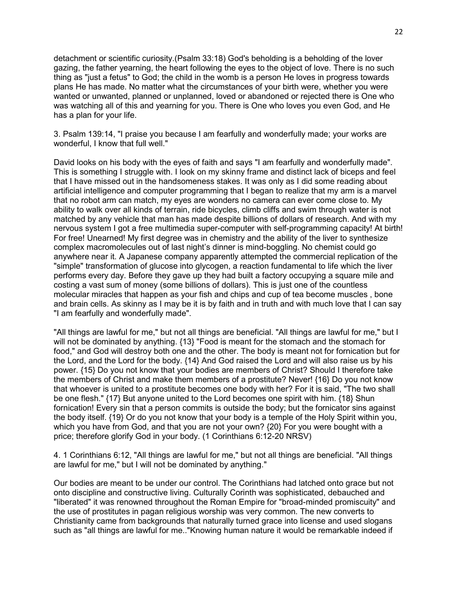detachment or scientific curiosity.(Psalm 33:18) God's beholding is a beholding of the lover gazing, the father yearning, the heart following the eyes to the object of love. There is no such thing as "just a fetus" to God; the child in the womb is a person He loves in progress towards plans He has made. No matter what the circumstances of your birth were, whether you were wanted or unwanted, planned or unplanned, loved or abandoned or rejected there is One who was watching all of this and yearning for you. There is One who loves you even God, and He has a plan for your life.

3. Psalm 139:14, "I praise you because I am fearfully and wonderfully made; your works are wonderful, I know that full well."

David looks on his body with the eyes of faith and says "I am fearfully and wonderfully made". This is something I struggle with. I look on my skinny frame and distinct lack of biceps and feel that I have missed out in the handsomeness stakes. It was only as I did some reading about artificial intelligence and computer programming that I began to realize that my arm is a marvel that no robot arm can match, my eyes are wonders no camera can ever come close to. My ability to walk over all kinds of terrain, ride bicycles, climb cliffs and swim through water is not matched by any vehicle that man has made despite billions of dollars of research. And with my nervous system I got a free multimedia super-computer with self-programming capacity! At birth! For free! Unearned! My first degree was in chemistry and the ability of the liver to synthesize complex macromolecules out of last night"s dinner is mind-boggling. No chemist could go anywhere near it. A Japanese company apparently attempted the commercial replication of the "simple" transformation of glucose into glycogen, a reaction fundamental to life which the liver performs every day. Before they gave up they had built a factory occupying a square mile and costing a vast sum of money (some billions of dollars). This is just one of the countless molecular miracles that happen as your fish and chips and cup of tea become muscles , bone and brain cells. As skinny as I may be it is by faith and in truth and with much love that I can say "I am fearfully and wonderfully made".

"All things are lawful for me," but not all things are beneficial. "All things are lawful for me," but I will not be dominated by anything.  ${13}$  "Food is meant for the stomach and the stomach for food," and God will destroy both one and the other. The body is meant not for fornication but for the Lord, and the Lord for the body. {14} And God raised the Lord and will also raise us by his power. {15} Do you not know that your bodies are members of Christ? Should I therefore take the members of Christ and make them members of a prostitute? Never! {16} Do you not know that whoever is united to a prostitute becomes one body with her? For it is said, "The two shall be one flesh." {17} But anyone united to the Lord becomes one spirit with him. {18} Shun fornication! Every sin that a person commits is outside the body; but the fornicator sins against the body itself. {19} Or do you not know that your body is a temple of the Holy Spirit within you, which you have from God, and that you are not your own?  $\{20\}$  For you were bought with a price; therefore glorify God in your body. (1 Corinthians 6:12-20 NRSV)

4. 1 Corinthians 6:12, "All things are lawful for me," but not all things are beneficial. "All things are lawful for me," but I will not be dominated by anything."

Our bodies are meant to be under our control. The Corinthians had latched onto grace but not onto discipline and constructive living. Culturally Corinth was sophisticated, debauched and "liberated" it was renowned throughout the Roman Empire for "broad-minded promiscuity" and the use of prostitutes in pagan religious worship was very common. The new converts to Christianity came from backgrounds that naturally turned grace into license and used slogans such as "all things are lawful for me.."Knowing human nature it would be remarkable indeed if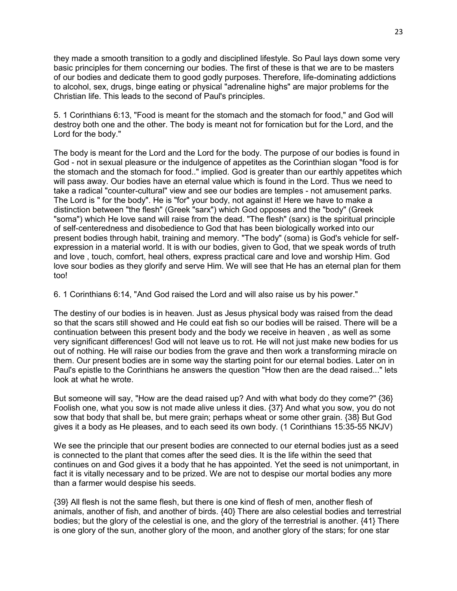they made a smooth transition to a godly and disciplined lifestyle. So Paul lays down some very basic principles for them concerning our bodies. The first of these is that we are to be masters of our bodies and dedicate them to good godly purposes. Therefore, life-dominating addictions to alcohol, sex, drugs, binge eating or physical "adrenaline highs" are major problems for the Christian life. This leads to the second of Paul's principles.

5. 1 Corinthians 6:13, "Food is meant for the stomach and the stomach for food," and God will destroy both one and the other. The body is meant not for fornication but for the Lord, and the Lord for the body."

The body is meant for the Lord and the Lord for the body. The purpose of our bodies is found in God - not in sexual pleasure or the indulgence of appetites as the Corinthian slogan "food is for the stomach and the stomach for food.." implied. God is greater than our earthly appetites which will pass away. Our bodies have an eternal value which is found in the Lord. Thus we need to take a radical "counter-cultural" view and see our bodies are temples - not amusement parks. The Lord is " for the body". He is "for" your body, not against it! Here we have to make a distinction between "the flesh" (Greek "sarx") which God opposes and the "body" (Greek "soma") which He love sand will raise from the dead. "The flesh" (sarx) is the spiritual principle of self-centeredness and disobedience to God that has been biologically worked into our present bodies through habit, training and memory. "The body" (soma) is God's vehicle for selfexpression in a material world. It is with our bodies, given to God, that we speak words of truth and love , touch, comfort, heal others, express practical care and love and worship Him. God love sour bodies as they glorify and serve Him. We will see that He has an eternal plan for them too!

6. 1 Corinthians 6:14, "And God raised the Lord and will also raise us by his power."

The destiny of our bodies is in heaven. Just as Jesus physical body was raised from the dead so that the scars still showed and He could eat fish so our bodies will be raised. There will be a continuation between this present body and the body we receive in heaven , as well as some very significant differences! God will not leave us to rot. He will not just make new bodies for us out of nothing. He will raise our bodies from the grave and then work a transforming miracle on them. Our present bodies are in some way the starting point for our eternal bodies. Later on in Paul's epistle to the Corinthians he answers the question "How then are the dead raised..." lets look at what he wrote.

But someone will say, "How are the dead raised up? And with what body do they come?" {36} Foolish one, what you sow is not made alive unless it dies. {37} And what you sow, you do not sow that body that shall be, but mere grain; perhaps wheat or some other grain. {38} But God gives it a body as He pleases, and to each seed its own body. (1 Corinthians 15:35-55 NKJV)

We see the principle that our present bodies are connected to our eternal bodies just as a seed is connected to the plant that comes after the seed dies. It is the life within the seed that continues on and God gives it a body that he has appointed. Yet the seed is not unimportant, in fact it is vitally necessary and to be prized. We are not to despise our mortal bodies any more than a farmer would despise his seeds.

{39} All flesh is not the same flesh, but there is one kind of flesh of men, another flesh of animals, another of fish, and another of birds. {40} There are also celestial bodies and terrestrial bodies; but the glory of the celestial is one, and the glory of the terrestrial is another. {41} There is one glory of the sun, another glory of the moon, and another glory of the stars; for one star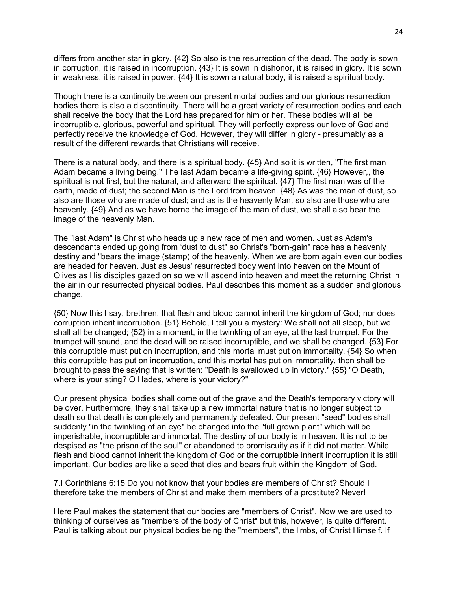differs from another star in glory. {42} So also is the resurrection of the dead. The body is sown in corruption, it is raised in incorruption. {43} It is sown in dishonor, it is raised in glory. It is sown in weakness, it is raised in power. {44} It is sown a natural body, it is raised a spiritual body.

Though there is a continuity between our present mortal bodies and our glorious resurrection bodies there is also a discontinuity. There will be a great variety of resurrection bodies and each shall receive the body that the Lord has prepared for him or her. These bodies will all be incorruptible, glorious, powerful and spiritual. They will perfectly express our love of God and perfectly receive the knowledge of God. However, they will differ in glory - presumably as a result of the different rewards that Christians will receive.

There is a natural body, and there is a spiritual body. {45} And so it is written, "The first man Adam became a living being." The last Adam became a life-giving spirit. {46} However,, the spiritual is not first, but the natural, and afterward the spiritual. {47} The first man was of the earth, made of dust; the second Man is the Lord from heaven. {48} As was the man of dust, so also are those who are made of dust; and as is the heavenly Man, so also are those who are heavenly. {49} And as we have borne the image of the man of dust, we shall also bear the image of the heavenly Man.

The "last Adam" is Christ who heads up a new race of men and women. Just as Adam's descendants ended up going from "dust to dust" so Christ's "born-gain" race has a heavenly destiny and "bears the image (stamp) of the heavenly. When we are born again even our bodies are headed for heaven. Just as Jesus' resurrected body went into heaven on the Mount of Olives as His disciples gazed on so we will ascend into heaven and meet the returning Christ in the air in our resurrected physical bodies. Paul describes this moment as a sudden and glorious change.

{50} Now this I say, brethren, that flesh and blood cannot inherit the kingdom of God; nor does corruption inherit incorruption. {51} Behold, I tell you a mystery: We shall not all sleep, but we shall all be changed; {52} in a moment, in the twinkling of an eye, at the last trumpet. For the trumpet will sound, and the dead will be raised incorruptible, and we shall be changed. {53} For this corruptible must put on incorruption, and this mortal must put on immortality. {54} So when this corruptible has put on incorruption, and this mortal has put on immortality, then shall be brought to pass the saying that is written: "Death is swallowed up in victory." {55} "O Death, where is your sting? O Hades, where is your victory?"

Our present physical bodies shall come out of the grave and the Death's temporary victory will be over. Furthermore, they shall take up a new immortal nature that is no longer subject to death so that death is completely and permanently defeated. Our present "seed" bodies shall suddenly "in the twinkling of an eye" be changed into the "full grown plant" which will be imperishable, incorruptible and immortal. The destiny of our body is in heaven. It is not to be despised as "the prison of the soul" or abandoned to promiscuity as if it did not matter. While flesh and blood cannot inherit the kingdom of God or the corruptible inherit incorruption it is still important. Our bodies are like a seed that dies and bears fruit within the Kingdom of God.

7.I Corinthians 6:15 Do you not know that your bodies are members of Christ? Should I therefore take the members of Christ and make them members of a prostitute? Never!

Here Paul makes the statement that our bodies are "members of Christ". Now we are used to thinking of ourselves as "members of the body of Christ" but this, however, is quite different. Paul is talking about our physical bodies being the "members", the limbs, of Christ Himself. If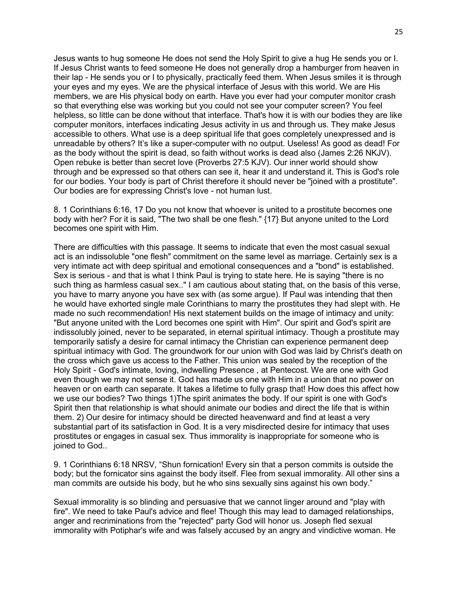Jesus wants to hug someone He does not send the Holy Spirit to give a hug He sends you or I. If Jesus Christ wants to feed someone He does not generally drop a hamburger from heaven in their lap - He sends you or I to physically, practically feed them. When Jesus smiles it is through your eyes and my eyes. We are the physical interface of Jesus with this world. We are His members, we are His physical body on earth. Have you ever had your computer monitor crash so that everything else was working but you could not see your computer screen? You feel helpless, so little can be done without that interface. That's how it is with our bodies they are like computer monitors, interfaces indicating Jesus activity in us and through us. They make Jesus accessible to others. What use is a deep spiritual life that goes completely unexpressed and is unreadable by others? It's like a super-computer with no output. Useless! As good as dead! For as the body without the spirit is dead, so faith without works is dead also (James 2:26 NKJV). Open rebuke is better than secret love (Proverbs 27:5 KJV). Our inner world should show through and be expressed so that others can see it, hear it and understand it. This is God's role for our bodies. Your body is part of Christ therefore it should never be "joined with a prostitute". Our bodies are for expressing Christ's love - not human lust.

8. 1 Corinthians 6:16, 17 Do you not know that whoever is united to a prostitute becomes one body with her? For it is said, "The two shall be one flesh." {17} But anyone united to the Lord becomes one spirit with Him.

There are difficulties with this passage. It seems to indicate that even the most casual sexual act is an indissoluble "one flesh" commitment on the same level as marriage. Certainly sex is a very intimate act with deep spiritual and emotional consequences and a "bond" is established. Sex is serious - and that is what I think Paul is trying to state here. He is saying "there is no such thing as harmless casual sex.." I am cautious about stating that, on the basis of this verse, you have to marry anyone you have sex with (as some argue). If Paul was intending that then he would have exhorted single male Corinthians to marry the prostitutes they had slept with. He made no such recommendation! His next statement builds on the image of intimacy and unity: "But anyone united with the Lord becomes one spirit with Him". Our spirit and God's spirit are indissolubly joined, never to be separated, in eternal spiritual intimacy. Though a prostitute may temporarily satisfy a desire for carnal intimacy the Christian can experience permanent deep spiritual intimacy with God. The groundwork for our union with God was laid by Christ's death on the cross which gave us access to the Father. This union was sealed by the reception of the Holy Spirit - God's intimate, loving, indwelling Presence , at Pentecost. We are one with God even though we may not sense it. God has made us one with Him in a union that no power on heaven or on earth can separate. It takes a lifetime to fully grasp that! How does this affect how we use our bodies? Two things 1)The spirit animates the body. If our spirit is one with God's Spirit then that relationship is what should animate our bodies and direct the life that is within them. 2) Our desire for intimacy should be directed heavenward and find at least a very substantial part of its satisfaction in God. It is a very misdirected desire for intimacy that uses prostitutes or engages in casual sex. Thus immorality is inappropriate for someone who is ioined to God..

9. 1 Corinthians 6:18 NRSV, "Shun fornication! Every sin that a person commits is outside the body; but the fornicator sins against the body itself. Flee from sexual immorality. All other sins a man commits are outside his body, but he who sins sexually sins against his own body."

Sexual immorality is so blinding and persuasive that we cannot linger around and "play with fire". We need to take Paul's advice and flee! Though this may lead to damaged relationships, anger and recriminations from the "rejected" party God will honor us. Joseph fled sexual immorality with Potiphar's wife and was falsely accused by an angry and vindictive woman. He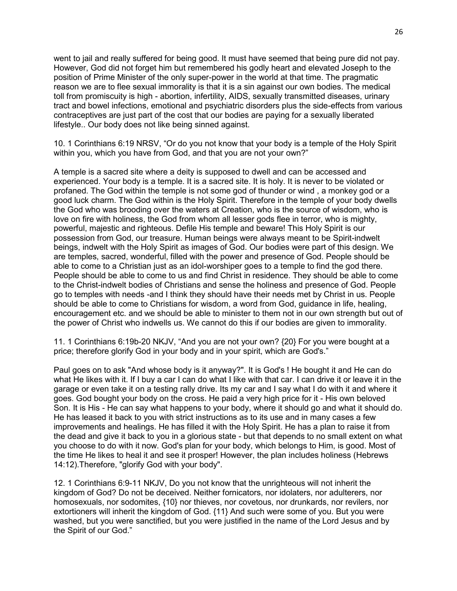went to jail and really suffered for being good. It must have seemed that being pure did not pay. However, God did not forget him but remembered his godly heart and elevated Joseph to the position of Prime Minister of the only super-power in the world at that time. The pragmatic reason we are to flee sexual immorality is that it is a sin against our own bodies. The medical toll from promiscuity is high - abortion, infertility, AIDS, sexually transmitted diseases, urinary tract and bowel infections, emotional and psychiatric disorders plus the side-effects from various contraceptives are just part of the cost that our bodies are paying for a sexually liberated lifestyle.. Our body does not like being sinned against.

10. 1 Corinthians 6:19 NRSV, "Or do you not know that your body is a temple of the Holy Spirit within you, which you have from God, and that you are not your own?"

A temple is a sacred site where a deity is supposed to dwell and can be accessed and experienced. Your body is a temple. It is a sacred site. It is holy. It is never to be violated or profaned. The God within the temple is not some god of thunder or wind , a monkey god or a good luck charm. The God within is the Holy Spirit. Therefore in the temple of your body dwells the God who was brooding over the waters at Creation, who is the source of wisdom, who is love on fire with holiness, the God from whom all lesser gods flee in terror, who is mighty, powerful, majestic and righteous. Defile His temple and beware! This Holy Spirit is our possession from God, our treasure. Human beings were always meant to be Spirit-indwelt beings, indwelt with the Holy Spirit as images of God. Our bodies were part of this design. We are temples, sacred, wonderful, filled with the power and presence of God. People should be able to come to a Christian just as an idol-worshiper goes to a temple to find the god there. People should be able to come to us and find Christ in residence. They should be able to come to the Christ-indwelt bodies of Christians and sense the holiness and presence of God. People go to temples with needs -and I think they should have their needs met by Christ in us. People should be able to come to Christians for wisdom, a word from God, guidance in life, healing, encouragement etc. and we should be able to minister to them not in our own strength but out of the power of Christ who indwells us. We cannot do this if our bodies are given to immorality.

11. 1 Corinthians 6:19b-20 NKJV, "And you are not your own? {20} For you were bought at a price; therefore glorify God in your body and in your spirit, which are God's."

Paul goes on to ask "And whose body is it anyway?". It is God's ! He bought it and He can do what He likes with it. If I buy a car I can do what I like with that car. I can drive it or leave it in the garage or even take it on a testing rally drive. Its my car and I say what I do with it and where it goes. God bought your body on the cross. He paid a very high price for it - His own beloved Son. It is His - He can say what happens to your body, where it should go and what it should do. He has leased it back to you with strict instructions as to its use and in many cases a few improvements and healings. He has filled it with the Holy Spirit. He has a plan to raise it from the dead and give it back to you in a glorious state - but that depends to no small extent on what you choose to do with it now. God's plan for your body, which belongs to Him, is good. Most of the time He likes to heal it and see it prosper! However, the plan includes holiness (Hebrews 14:12).Therefore, "glorify God with your body".

12. 1 Corinthians 6:9-11 NKJV, Do you not know that the unrighteous will not inherit the kingdom of God? Do not be deceived. Neither fornicators, nor idolaters, nor adulterers, nor homosexuals, nor sodomites, {10} nor thieves, nor covetous, nor drunkards, nor revilers, nor extortioners will inherit the kingdom of God. {11} And such were some of you. But you were washed, but you were sanctified, but you were justified in the name of the Lord Jesus and by the Spirit of our God."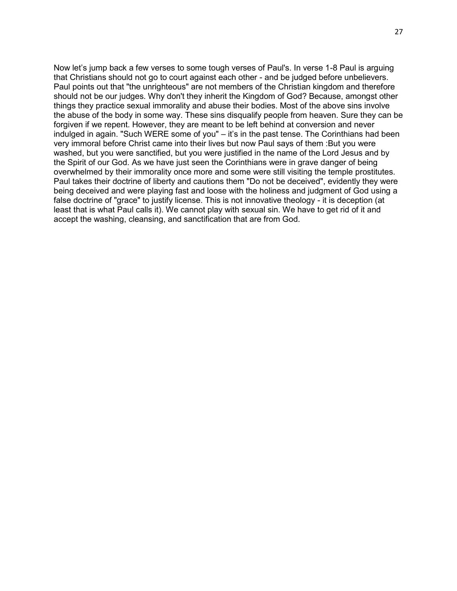Now let"s jump back a few verses to some tough verses of Paul's. In verse 1-8 Paul is arguing that Christians should not go to court against each other - and be judged before unbelievers. Paul points out that "the unrighteous" are not members of the Christian kingdom and therefore should not be our judges. Why don't they inherit the Kingdom of God? Because, amongst other things they practice sexual immorality and abuse their bodies. Most of the above sins involve the abuse of the body in some way. These sins disqualify people from heaven. Sure they can be forgiven if we repent. However, they are meant to be left behind at conversion and never indulged in again. "Such WERE some of you" – it's in the past tense. The Corinthians had been very immoral before Christ came into their lives but now Paul says of them :But you were washed, but you were sanctified, but you were justified in the name of the Lord Jesus and by the Spirit of our God. As we have just seen the Corinthians were in grave danger of being overwhelmed by their immorality once more and some were still visiting the temple prostitutes. Paul takes their doctrine of liberty and cautions them "Do not be deceived", evidently they were being deceived and were playing fast and loose with the holiness and judgment of God using a false doctrine of "grace" to justify license. This is not innovative theology - it is deception (at least that is what Paul calls it). We cannot play with sexual sin. We have to get rid of it and accept the washing, cleansing, and sanctification that are from God.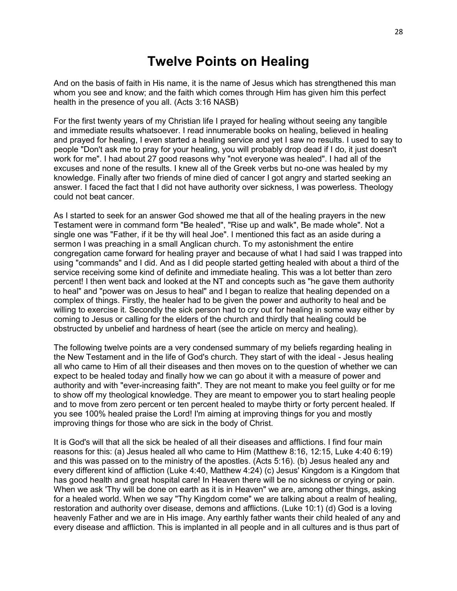# **Twelve Points on Healing**

And on the basis of faith in His name, it is the name of Jesus which has strengthened this man whom you see and know; and the faith which comes through Him has given him this perfect health in the presence of you all. (Acts 3:16 NASB)

For the first twenty years of my Christian life I prayed for healing without seeing any tangible and immediate results whatsoever. I read innumerable books on healing, believed in healing and prayed for healing, I even started a healing service and yet I saw no results. I used to say to people "Don't ask me to pray for your healing, you will probably drop dead if I do, it just doesn't work for me". I had about 27 good reasons why "not everyone was healed". I had all of the excuses and none of the results. I knew all of the Greek verbs but no-one was healed by my knowledge. Finally after two friends of mine died of cancer I got angry and started seeking an answer. I faced the fact that I did not have authority over sickness, I was powerless. Theology could not beat cancer.

As I started to seek for an answer God showed me that all of the healing prayers in the new Testament were in command form "Be healed", "Rise up and walk", Be made whole". Not a single one was "Father, if it be thy will heal Joe". I mentioned this fact as an aside during a sermon I was preaching in a small Anglican church. To my astonishment the entire congregation came forward for healing prayer and because of what I had said I was trapped into using "commands" and I did. And as I did people started getting healed with about a third of the service receiving some kind of definite and immediate healing. This was a lot better than zero percent! I then went back and looked at the NT and concepts such as "he gave them authority to heal" and "power was on Jesus to heal" and I began to realize that healing depended on a complex of things. Firstly, the healer had to be given the power and authority to heal and be willing to exercise it. Secondly the sick person had to cry out for healing in some way either by coming to Jesus or calling for the elders of the church and thirdly that healing could be obstructed by unbelief and hardness of heart (see the article on mercy and healing).

The following twelve points are a very condensed summary of my beliefs regarding healing in the New Testament and in the life of God's church. They start of with the ideal - Jesus healing all who came to Him of all their diseases and then moves on to the question of whether we can expect to be healed today and finally how we can go about it with a measure of power and authority and with "ever-increasing faith". They are not meant to make you feel guilty or for me to show off my theological knowledge. They are meant to empower you to start healing people and to move from zero percent or ten percent healed to maybe thirty or forty percent healed. If you see 100% healed praise the Lord! I'm aiming at improving things for you and mostly improving things for those who are sick in the body of Christ.

It is God's will that all the sick be healed of all their diseases and afflictions. I find four main reasons for this: (a) Jesus healed all who came to Him (Matthew 8:16, 12:15, Luke 4:40 6:19) and this was passed on to the ministry of the apostles. (Acts 5:16). (b) Jesus healed any and every different kind of affliction (Luke 4:40, Matthew 4:24) (c) Jesus' Kingdom is a Kingdom that has good health and great hospital care! In Heaven there will be no sickness or crying or pain. When we ask 'Thy will be done on earth as it is in Heaven" we are, among other things, asking for a healed world. When we say "Thy Kingdom come" we are talking about a realm of healing, restoration and authority over disease, demons and afflictions. (Luke 10:1) (d) God is a loving heavenly Father and we are in His image. Any earthly father wants their child healed of any and every disease and affliction. This is implanted in all people and in all cultures and is thus part of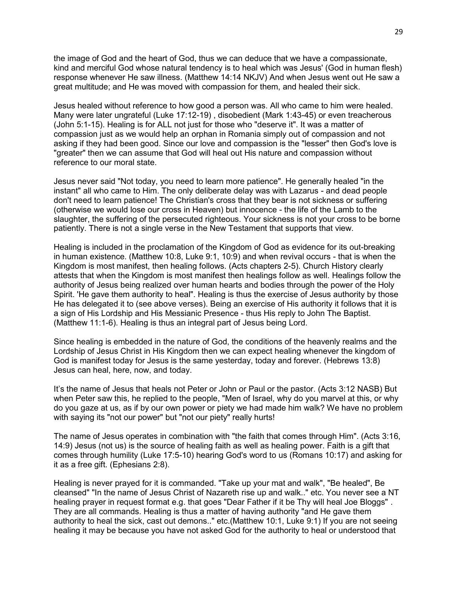the image of God and the heart of God, thus we can deduce that we have a compassionate, kind and merciful God whose natural tendency is to heal which was Jesus' (God in human flesh) response whenever He saw illness. (Matthew 14:14 NKJV) And when Jesus went out He saw a great multitude; and He was moved with compassion for them, and healed their sick.

Jesus healed without reference to how good a person was. All who came to him were healed. Many were later ungrateful (Luke 17:12-19) , disobedient (Mark 1:43-45) or even treacherous (John 5:1-15). Healing is for ALL not just for those who "deserve it". It was a matter of compassion just as we would help an orphan in Romania simply out of compassion and not asking if they had been good. Since our love and compassion is the "lesser" then God's love is "greater" then we can assume that God will heal out His nature and compassion without reference to our moral state.

Jesus never said "Not today, you need to learn more patience". He generally healed "in the instant" all who came to Him. The only deliberate delay was with Lazarus - and dead people don't need to learn patience! The Christian's cross that they bear is not sickness or suffering (otherwise we would lose our cross in Heaven) but innocence - the life of the Lamb to the slaughter, the suffering of the persecuted righteous. Your sickness is not your cross to be borne patiently. There is not a single verse in the New Testament that supports that view.

Healing is included in the proclamation of the Kingdom of God as evidence for its out-breaking in human existence. (Matthew 10:8, Luke 9:1, 10:9) and when revival occurs - that is when the Kingdom is most manifest, then healing follows. (Acts chapters 2-5). Church History clearly attests that when the Kingdom is most manifest then healings follow as well. Healings follow the authority of Jesus being realized over human hearts and bodies through the power of the Holy Spirit. 'He gave them authority to heal". Healing is thus the exercise of Jesus authority by those He has delegated it to (see above verses). Being an exercise of His authority it follows that it is a sign of His Lordship and His Messianic Presence - thus His reply to John The Baptist. (Matthew 11:1-6). Healing is thus an integral part of Jesus being Lord.

Since healing is embedded in the nature of God, the conditions of the heavenly realms and the Lordship of Jesus Christ in His Kingdom then we can expect healing whenever the kingdom of God is manifest today for Jesus is the same yesterday, today and forever. (Hebrews 13:8) Jesus can heal, here, now, and today.

It"s the name of Jesus that heals not Peter or John or Paul or the pastor. (Acts 3:12 NASB) But when Peter saw this, he replied to the people, "Men of Israel, why do you marvel at this, or why do you gaze at us, as if by our own power or piety we had made him walk? We have no problem with saying its "not our power" but "not our piety" really hurts!

The name of Jesus operates in combination with "the faith that comes through Him". (Acts 3:16, 14:9) Jesus (not us) is the source of healing faith as well as healing power. Faith is a gift that comes through humility (Luke 17:5-10) hearing God's word to us (Romans 10:17) and asking for it as a free gift. (Ephesians 2:8).

Healing is never prayed for it is commanded. "Take up your mat and walk", "Be healed", Be cleansed" "In the name of Jesus Christ of Nazareth rise up and walk.." etc. You never see a NT healing prayer in request format e.g. that goes "Dear Father if it be Thy will heal Joe Bloggs" . They are all commands. Healing is thus a matter of having authority "and He gave them authority to heal the sick, cast out demons.." etc.(Matthew 10:1, Luke 9:1) If you are not seeing healing it may be because you have not asked God for the authority to heal or understood that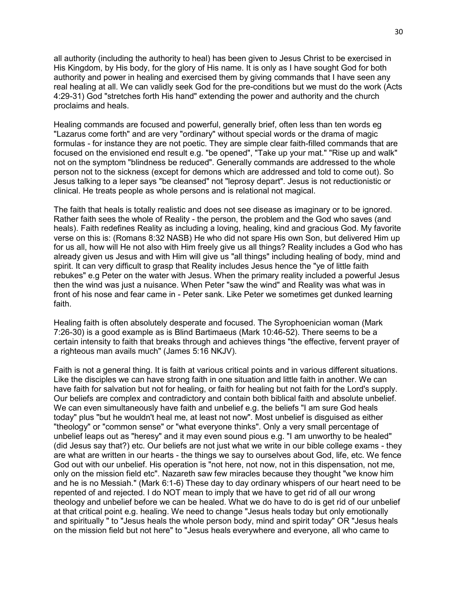all authority (including the authority to heal) has been given to Jesus Christ to be exercised in His Kingdom, by His body, for the glory of His name. It is only as I have sought God for both authority and power in healing and exercised them by giving commands that I have seen any real healing at all. We can validly seek God for the pre-conditions but we must do the work (Acts 4:29-31) God "stretches forth His hand" extending the power and authority and the church proclaims and heals.

Healing commands are focused and powerful, generally brief, often less than ten words eg "Lazarus come forth" and are very "ordinary" without special words or the drama of magic formulas - for instance they are not poetic. They are simple clear faith-filled commands that are focused on the envisioned end result e.g. "be opened", "Take up your mat." "Rise up and walk" not on the symptom "blindness be reduced". Generally commands are addressed to the whole person not to the sickness (except for demons which are addressed and told to come out). So Jesus talking to a leper says "be cleansed" not "leprosy depart". Jesus is not reductionistic or clinical. He treats people as whole persons and is relational not magical.

The faith that heals is totally realistic and does not see disease as imaginary or to be ignored. Rather faith sees the whole of Reality - the person, the problem and the God who saves (and heals). Faith redefines Reality as including a loving, healing, kind and gracious God. My favorite verse on this is: (Romans 8:32 NASB) He who did not spare His own Son, but delivered Him up for us all, how will He not also with Him freely give us all things? Reality includes a God who has already given us Jesus and with Him will give us "all things" including healing of body, mind and spirit. It can very difficult to grasp that Reality includes Jesus hence the "ye of little faith rebukes" e.g Peter on the water with Jesus. When the primary reality included a powerful Jesus then the wind was just a nuisance. When Peter "saw the wind" and Reality was what was in front of his nose and fear came in - Peter sank. Like Peter we sometimes get dunked learning faith.

Healing faith is often absolutely desperate and focused. The Syrophoenician woman (Mark 7:26-30) is a good example as is Blind Bartimaeus (Mark 10:46-52). There seems to be a certain intensity to faith that breaks through and achieves things "the effective, fervent prayer of a righteous man avails much" (James 5:16 NKJV).

Faith is not a general thing. It is faith at various critical points and in various different situations. Like the disciples we can have strong faith in one situation and little faith in another. We can have faith for salvation but not for healing, or faith for healing but not faith for the Lord's supply. Our beliefs are complex and contradictory and contain both biblical faith and absolute unbelief. We can even simultaneously have faith and unbelief e.g. the beliefs "I am sure God heals today" plus "but he wouldn't heal me, at least not now". Most unbelief is disguised as either "theology" or "common sense" or "what everyone thinks". Only a very small percentage of unbelief leaps out as "heresy" and it may even sound pious e.g. "I am unworthy to be healed" (did Jesus say that?) etc. Our beliefs are not just what we write in our bible college exams - they are what are written in our hearts - the things we say to ourselves about God, life, etc. We fence God out with our unbelief. His operation is "not here, not now, not in this dispensation, not me, only on the mission field etc". Nazareth saw few miracles because they thought "we know him and he is no Messiah." (Mark 6:1-6) These day to day ordinary whispers of our heart need to be repented of and rejected. I do NOT mean to imply that we have to get rid of all our wrong theology and unbelief before we can be healed. What we do have to do is get rid of our unbelief at that critical point e.g. healing. We need to change "Jesus heals today but only emotionally and spiritually " to "Jesus heals the whole person body, mind and spirit today" OR "Jesus heals on the mission field but not here" to "Jesus heals everywhere and everyone, all who came to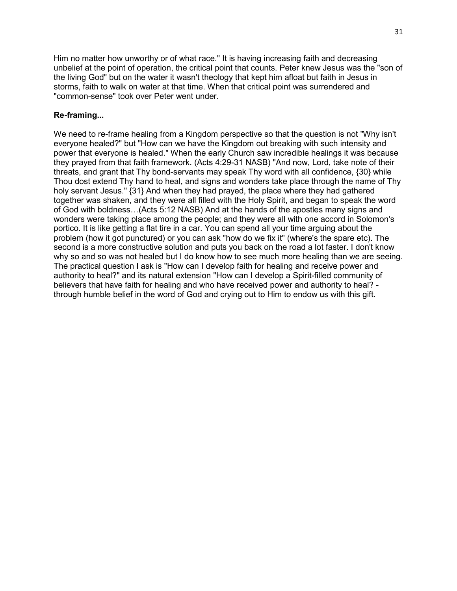Him no matter how unworthy or of what race." It is having increasing faith and decreasing unbelief at the point of operation, the critical point that counts. Peter knew Jesus was the "son of the living God" but on the water it wasn't theology that kept him afloat but faith in Jesus in storms, faith to walk on water at that time. When that critical point was surrendered and "common-sense" took over Peter went under.

# **Re-framing...**

We need to re-frame healing from a Kingdom perspective so that the question is not "Why isn't everyone healed?" but "How can we have the Kingdom out breaking with such intensity and power that everyone is healed." When the early Church saw incredible healings it was because they prayed from that faith framework. (Acts 4:29-31 NASB) "And now, Lord, take note of their threats, and grant that Thy bond-servants may speak Thy word with all confidence, {30} while Thou dost extend Thy hand to heal, and signs and wonders take place through the name of Thy holy servant Jesus." {31} And when they had prayed, the place where they had gathered together was shaken, and they were all filled with the Holy Spirit, and began to speak the word of God with boldness…(Acts 5:12 NASB) And at the hands of the apostles many signs and wonders were taking place among the people; and they were all with one accord in Solomon's portico. It is like getting a flat tire in a car. You can spend all your time arguing about the problem (how it got punctured) or you can ask "how do we fix it" (where's the spare etc). The second is a more constructive solution and puts you back on the road a lot faster. I don't know why so and so was not healed but I do know how to see much more healing than we are seeing. The practical question I ask is "How can I develop faith for healing and receive power and authority to heal?" and its natural extension "How can I develop a Spirit-filled community of believers that have faith for healing and who have received power and authority to heal? through humble belief in the word of God and crying out to Him to endow us with this gift.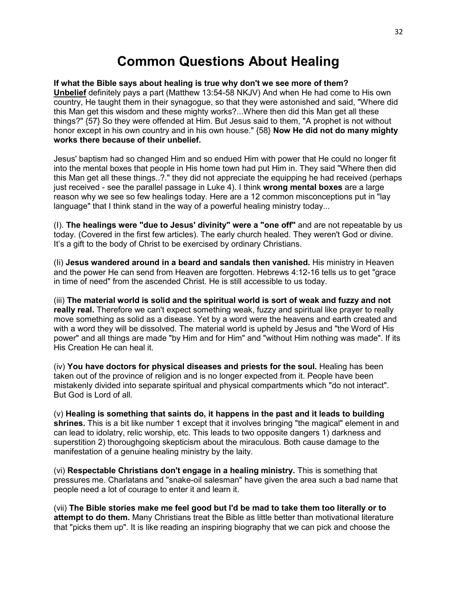# **Common Questions About Healing**

### **If what the Bible says about healing is true why don't we see more of them?**

**Unbelief** definitely pays a part (Matthew 13:54-58 NKJV) And when He had come to His own country, He taught them in their synagogue, so that they were astonished and said, "Where did this Man get this wisdom and these mighty works?...Where then did this Man get all these things?" {57} So they were offended at Him. But Jesus said to them, "A prophet is not without honor except in his own country and in his own house." {58} **Now He did not do many mighty works there because of their unbelief.**

Jesus' baptism had so changed Him and so endued Him with power that He could no longer fit into the mental boxes that people in His home town had put Him in. They said "Where then did this Man get all these things..?." they did not appreciate the equipping he had received (perhaps just received - see the parallel passage in Luke 4). I think **wrong mental boxes** are a large reason why we see so few healings today. Here are a 12 common misconceptions put in "lay language" that I think stand in the way of a powerful healing ministry today...

(I). **The healings were "due to Jesus' divinity" were a "one off"** and are not repeatable by us today. (Covered in the first few articles). The early church healed. They weren't God or divine. It's a gift to the body of Christ to be exercised by ordinary Christians.

(Ii) **Jesus wandered around in a beard and sandals then vanished.** His ministry in Heaven and the power He can send from Heaven are forgotten. Hebrews 4:12-16 tells us to get "grace in time of need" from the ascended Christ. He is still accessible to us today.

(iii) **The material world is solid and the spiritual world is sort of weak and fuzzy and not really real.** Therefore we can't expect something weak, fuzzy and spiritual like prayer to really move something as solid as a disease. Yet by a word were the heavens and earth created and with a word they will be dissolved. The material world is upheld by Jesus and "the Word of His power" and all things are made "by Him and for Him" and "without Him nothing was made". If its His Creation He can heal it.

(iv) **You have doctors for physical diseases and priests for the soul.** Healing has been taken out of the province of religion and is no longer expected from it. People have been mistakenly divided into separate spiritual and physical compartments which "do not interact". But God is Lord of all.

(v) **Healing is something that saints do, it happens in the past and it leads to building shrines.** This is a bit like number 1 except that it involves bringing "the magical" element in and can lead to idolatry, relic worship, etc. This leads to two opposite dangers 1) darkness and superstition 2) thoroughgoing skepticism about the miraculous. Both cause damage to the manifestation of a genuine healing ministry by the laity.

(vi) **Respectable Christians don't engage in a healing ministry.** This is something that pressures me. Charlatans and "snake-oil salesman" have given the area such a bad name that people need a lot of courage to enter it and learn it.

(vii) **The Bible stories make me feel good but I'd be mad to take them too literally or to attempt to do them.** Many Christians treat the Bible as little better than motivational literature that "picks them up". It is like reading an inspiring biography that we can pick and choose the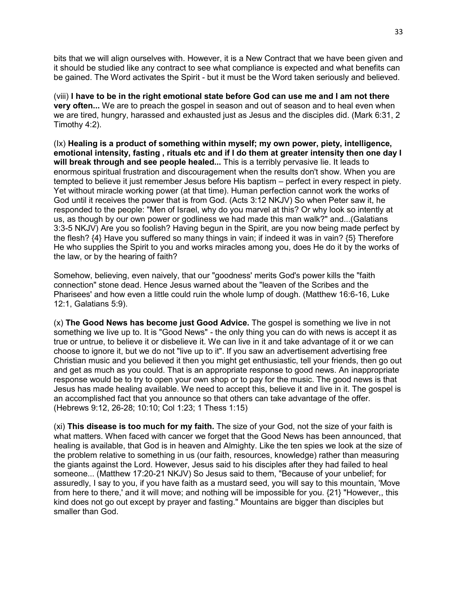bits that we will align ourselves with. However, it is a New Contract that we have been given and it should be studied like any contract to see what compliance is expected and what benefits can be gained. The Word activates the Spirit - but it must be the Word taken seriously and believed.

(viii) **I have to be in the right emotional state before God can use me and I am not there very often...** We are to preach the gospel in season and out of season and to heal even when we are tired, hungry, harassed and exhausted just as Jesus and the disciples did. (Mark 6:31, 2 Timothy 4:2).

(Ix) **Healing is a product of something within myself; my own power, piety, intelligence, emotional intensity, fasting , rituals etc and if I do them at greater intensity then one day I will break through and see people healed...** This is a terribly pervasive lie. It leads to enormous spiritual frustration and discouragement when the results don't show. When you are tempted to believe it just remember Jesus before His baptism – perfect in every respect in piety. Yet without miracle working power (at that time). Human perfection cannot work the works of God until it receives the power that is from God. (Acts 3:12 NKJV) So when Peter saw it, he responded to the people: "Men of Israel, why do you marvel at this? Or why look so intently at us, as though by our own power or godliness we had made this man walk?" and...(Galatians 3:3-5 NKJV) Are you so foolish? Having begun in the Spirit, are you now being made perfect by the flesh? {4} Have you suffered so many things in vain; if indeed it was in vain? {5} Therefore He who supplies the Spirit to you and works miracles among you, does He do it by the works of the law, or by the hearing of faith?

Somehow, believing, even naively, that our "goodness' merits God's power kills the "faith connection" stone dead. Hence Jesus warned about the "leaven of the Scribes and the Pharisees' and how even a little could ruin the whole lump of dough. (Matthew 16:6-16, Luke 12:1, Galatians 5:9).

(x) **The Good News has become just Good Advice.** The gospel is something we live in not something we live up to. It is "Good News" - the only thing you can do with news is accept it as true or untrue, to believe it or disbelieve it. We can live in it and take advantage of it or we can choose to ignore it, but we do not "live up to it". If you saw an advertisement advertising free Christian music and you believed it then you might get enthusiastic, tell your friends, then go out and get as much as you could. That is an appropriate response to good news. An inappropriate response would be to try to open your own shop or to pay for the music. The good news is that Jesus has made healing available. We need to accept this, believe it and live in it. The gospel is an accomplished fact that you announce so that others can take advantage of the offer. (Hebrews 9:12, 26-28; 10:10; Col 1:23; 1 Thess 1:15)

(xi) **This disease is too much for my faith.** The size of your God, not the size of your faith is what matters. When faced with cancer we forget that the Good News has been announced, that healing is available, that God is in heaven and Almighty. Like the ten spies we look at the size of the problem relative to something in us (our faith, resources, knowledge) rather than measuring the giants against the Lord. However, Jesus said to his disciples after they had failed to heal someone... (Matthew 17:20-21 NKJV) So Jesus said to them, "Because of your unbelief; for assuredly, I say to you, if you have faith as a mustard seed, you will say to this mountain, 'Move from here to there,' and it will move; and nothing will be impossible for you. {21} "However,, this kind does not go out except by prayer and fasting." Mountains are bigger than disciples but smaller than God.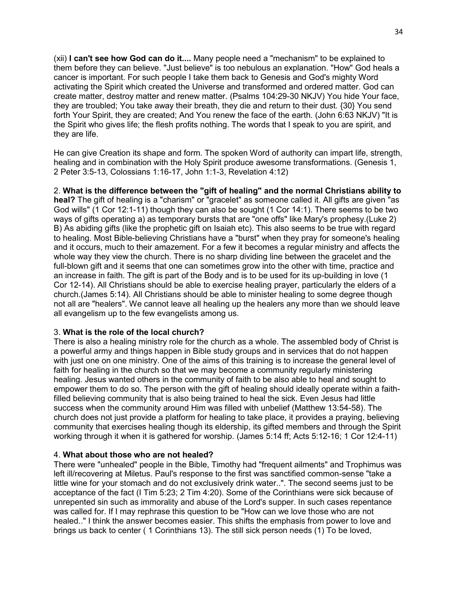(xii) **I can't see how God can do it....** Many people need a "mechanism" to be explained to them before they can believe. "Just believe" is too nebulous an explanation. "How" God heals a cancer is important. For such people I take them back to Genesis and God's mighty Word activating the Spirit which created the Universe and transformed and ordered matter. God can create matter, destroy matter and renew matter. (Psalms 104:29-30 NKJV) You hide Your face, they are troubled; You take away their breath, they die and return to their dust. {30} You send forth Your Spirit, they are created; And You renew the face of the earth. (John 6:63 NKJV) "It is the Spirit who gives life; the flesh profits nothing. The words that I speak to you are spirit, and they are life.

He can give Creation its shape and form. The spoken Word of authority can impart life, strength, healing and in combination with the Holy Spirit produce awesome transformations. (Genesis 1, 2 Peter 3:5-13, Colossians 1:16-17, John 1:1-3, Revelation 4:12)

2. **What is the difference between the "gift of healing" and the normal Christians ability to heal?** The gift of healing is a "charism" or "gracelet" as someone called it. All gifts are given "as God wills" (1 Cor 12:1-11) though they can also be sought (1 Cor 14:1). There seems to be two ways of gifts operating a) as temporary bursts that are "one offs" like Mary's prophesy.(Luke 2) B) As abiding gifts (like the prophetic gift on Isaiah etc). This also seems to be true with regard to healing. Most Bible-believing Christians have a "burst" when they pray for someone's healing and it occurs, much to their amazement. For a few it becomes a regular ministry and affects the whole way they view the church. There is no sharp dividing line between the gracelet and the full-blown gift and it seems that one can sometimes grow into the other with time, practice and an increase in faith. The gift is part of the Body and is to be used for its up-building in love (1 Cor 12-14). All Christians should be able to exercise healing prayer, particularly the elders of a church.(James 5:14). All Christians should be able to minister healing to some degree though not all are "healers". We cannot leave all healing up the healers any more than we should leave all evangelism up to the few evangelists among us.

### 3. **What is the role of the local church?**

There is also a healing ministry role for the church as a whole. The assembled body of Christ is a powerful army and things happen in Bible study groups and in services that do not happen with just one on one ministry. One of the aims of this training is to increase the general level of faith for healing in the church so that we may become a community regularly ministering healing. Jesus wanted others in the community of faith to be also able to heal and sought to empower them to do so. The person with the gift of healing should ideally operate within a faithfilled believing community that is also being trained to heal the sick. Even Jesus had little success when the community around Him was filled with unbelief (Matthew 13:54-58). The church does not just provide a platform for healing to take place, it provides a praying, believing community that exercises healing though its eldership, its gifted members and through the Spirit working through it when it is gathered for worship. (James 5:14 ff; Acts 5:12-16; 1 Cor 12:4-11)

# 4. **What about those who are not healed?**

There were "unhealed" people in the Bible, Timothy had "frequent ailments" and Trophimus was left ill/recovering at Miletus. Paul's response to the first was sanctified common-sense "take a little wine for your stomach and do not exclusively drink water..". The second seems just to be acceptance of the fact (I Tim 5:23; 2 Tim 4:20). Some of the Corinthians were sick because of unrepented sin such as immorality and abuse of the Lord's supper. In such cases repentance was called for. If I may rephrase this question to be "How can we love those who are not healed.." I think the answer becomes easier. This shifts the emphasis from power to love and brings us back to center ( 1 Corinthians 13). The still sick person needs (1) To be loved,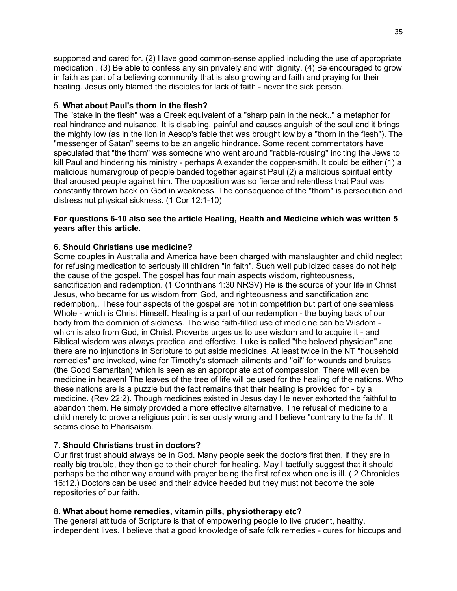supported and cared for. (2) Have good common-sense applied including the use of appropriate medication . (3) Be able to confess any sin privately and with dignity. (4) Be encouraged to grow in faith as part of a believing community that is also growing and faith and praying for their healing. Jesus only blamed the disciples for lack of faith - never the sick person.

# 5. **What about Paul's thorn in the flesh?**

The "stake in the flesh" was a Greek equivalent of a "sharp pain in the neck.." a metaphor for real hindrance and nuisance. It is disabling, painful and causes anguish of the soul and it brings the mighty low (as in the lion in Aesop's fable that was brought low by a "thorn in the flesh"). The "messenger of Satan" seems to be an angelic hindrance. Some recent commentators have speculated that "the thorn" was someone who went around "rabble-rousing" inciting the Jews to kill Paul and hindering his ministry - perhaps Alexander the copper-smith. It could be either (1) a malicious human/group of people banded together against Paul (2) a malicious spiritual entity that aroused people against him. The opposition was so fierce and relentless that Paul was constantly thrown back on God in weakness. The consequence of the "thorn" is persecution and distress not physical sickness. (1 Cor 12:1-10)

# **For questions 6-10 also see the article Healing, Health and Medicine which was written 5 years after this article.**

# 6. **Should Christians use medicine?**

Some couples in Australia and America have been charged with manslaughter and child neglect for refusing medication to seriously ill children "in faith". Such well publicized cases do not help the cause of the gospel. The gospel has four main aspects wisdom, righteousness, sanctification and redemption. (1 Corinthians 1:30 NRSV) He is the source of your life in Christ Jesus, who became for us wisdom from God, and righteousness and sanctification and redemption,. These four aspects of the gospel are not in competition but part of one seamless Whole - which is Christ Himself. Healing is a part of our redemption - the buying back of our body from the dominion of sickness. The wise faith-filled use of medicine can be Wisdom which is also from God, in Christ. Proverbs urges us to use wisdom and to acquire it - and Biblical wisdom was always practical and effective. Luke is called "the beloved physician" and there are no injunctions in Scripture to put aside medicines. At least twice in the NT "household remedies" are invoked, wine for Timothy's stomach ailments and "oil" for wounds and bruises (the Good Samaritan) which is seen as an appropriate act of compassion. There will even be medicine in heaven! The leaves of the tree of life will be used for the healing of the nations. Who these nations are is a puzzle but the fact remains that their healing is provided for - by a medicine. (Rev 22:2). Though medicines existed in Jesus day He never exhorted the faithful to abandon them. He simply provided a more effective alternative. The refusal of medicine to a child merely to prove a religious point is seriously wrong and I believe "contrary to the faith". It seems close to Pharisaism.

# 7. **Should Christians trust in doctors?**

Our first trust should always be in God. Many people seek the doctors first then, if they are in really big trouble, they then go to their church for healing. May I tactfully suggest that it should perhaps be the other way around with prayer being the first reflex when one is ill. ( 2 Chronicles 16:12.) Doctors can be used and their advice heeded but they must not become the sole repositories of our faith.

# 8. **What about home remedies, vitamin pills, physiotherapy etc?**

The general attitude of Scripture is that of empowering people to live prudent, healthy, independent lives. I believe that a good knowledge of safe folk remedies - cures for hiccups and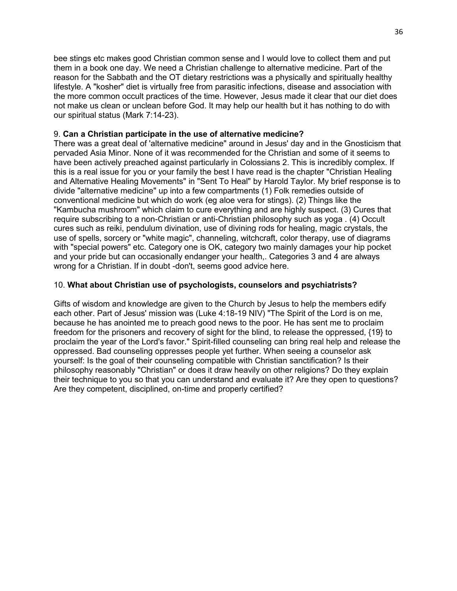bee stings etc makes good Christian common sense and I would love to collect them and put them in a book one day. We need a Christian challenge to alternative medicine. Part of the reason for the Sabbath and the OT dietary restrictions was a physically and spiritually healthy lifestyle. A "kosher" diet is virtually free from parasitic infections, disease and association with the more common occult practices of the time. However, Jesus made it clear that our diet does not make us clean or unclean before God. It may help our health but it has nothing to do with our spiritual status (Mark 7:14-23).

### 9. **Can a Christian participate in the use of alternative medicine?**

There was a great deal of 'alternative medicine" around in Jesus' day and in the Gnosticism that pervaded Asia Minor. None of it was recommended for the Christian and some of it seems to have been actively preached against particularly in Colossians 2. This is incredibly complex. If this is a real issue for you or your family the best I have read is the chapter "Christian Healing and Alternative Healing Movements" in "Sent To Heal" by Harold Taylor. My brief response is to divide "alternative medicine" up into a few compartments (1) Folk remedies outside of conventional medicine but which do work (eg aloe vera for stings). (2) Things like the "Kambucha mushroom" which claim to cure everything and are highly suspect. (3) Cures that require subscribing to a non-Christian or anti-Christian philosophy such as yoga . (4) Occult cures such as reiki, pendulum divination, use of divining rods for healing, magic crystals, the use of spells, sorcery or "white magic", channeling, witchcraft, color therapy, use of diagrams with "special powers" etc. Category one is OK, category two mainly damages your hip pocket and your pride but can occasionally endanger your health,. Categories 3 and 4 are always wrong for a Christian. If in doubt -don't, seems good advice here.

### 10. **What about Christian use of psychologists, counselors and psychiatrists?**

Gifts of wisdom and knowledge are given to the Church by Jesus to help the members edify each other. Part of Jesus' mission was (Luke 4:18-19 NIV) "The Spirit of the Lord is on me, because he has anointed me to preach good news to the poor. He has sent me to proclaim freedom for the prisoners and recovery of sight for the blind, to release the oppressed, {19} to proclaim the year of the Lord's favor." Spirit-filled counseling can bring real help and release the oppressed. Bad counseling oppresses people yet further. When seeing a counselor ask yourself: Is the goal of their counseling compatible with Christian sanctification? Is their philosophy reasonably "Christian" or does it draw heavily on other religions? Do they explain their technique to you so that you can understand and evaluate it? Are they open to questions? Are they competent, disciplined, on-time and properly certified?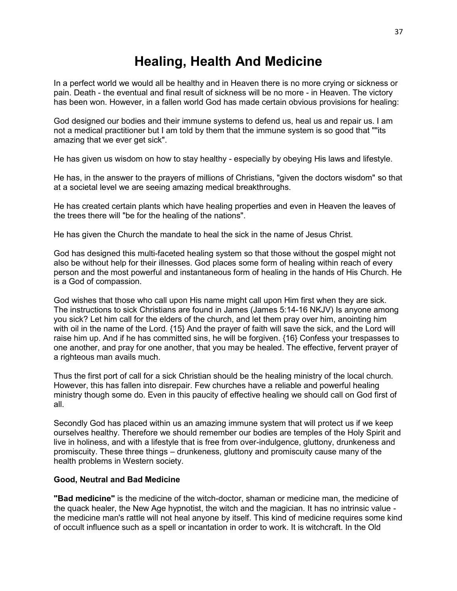# **Healing, Health And Medicine**

In a perfect world we would all be healthy and in Heaven there is no more crying or sickness or pain. Death - the eventual and final result of sickness will be no more - in Heaven. The victory has been won. However, in a fallen world God has made certain obvious provisions for healing:

God designed our bodies and their immune systems to defend us, heal us and repair us. I am not a medical practitioner but I am told by them that the immune system is so good that ""its amazing that we ever get sick".

He has given us wisdom on how to stay healthy - especially by obeying His laws and lifestyle.

He has, in the answer to the prayers of millions of Christians, "given the doctors wisdom" so that at a societal level we are seeing amazing medical breakthroughs.

He has created certain plants which have healing properties and even in Heaven the leaves of the trees there will "be for the healing of the nations".

He has given the Church the mandate to heal the sick in the name of Jesus Christ.

God has designed this multi-faceted healing system so that those without the gospel might not also be without help for their illnesses. God places some form of healing within reach of every person and the most powerful and instantaneous form of healing in the hands of His Church. He is a God of compassion.

God wishes that those who call upon His name might call upon Him first when they are sick. The instructions to sick Christians are found in James (James 5:14-16 NKJV) Is anyone among you sick? Let him call for the elders of the church, and let them pray over him, anointing him with oil in the name of the Lord. {15} And the prayer of faith will save the sick, and the Lord will raise him up. And if he has committed sins, he will be forgiven. {16} Confess your trespasses to one another, and pray for one another, that you may be healed. The effective, fervent prayer of a righteous man avails much.

Thus the first port of call for a sick Christian should be the healing ministry of the local church. However, this has fallen into disrepair. Few churches have a reliable and powerful healing ministry though some do. Even in this paucity of effective healing we should call on God first of all.

Secondly God has placed within us an amazing immune system that will protect us if we keep ourselves healthy. Therefore we should remember our bodies are temples of the Holy Spirit and live in holiness, and with a lifestyle that is free from over-indulgence, gluttony, drunkeness and promiscuity. These three things – drunkeness, gluttony and promiscuity cause many of the health problems in Western society.

### **Good, Neutral and Bad Medicine**

**"Bad medicine"** is the medicine of the witch-doctor, shaman or medicine man, the medicine of the quack healer, the New Age hypnotist, the witch and the magician. It has no intrinsic value the medicine man's rattle will not heal anyone by itself. This kind of medicine requires some kind of occult influence such as a spell or incantation in order to work. It is witchcraft. In the Old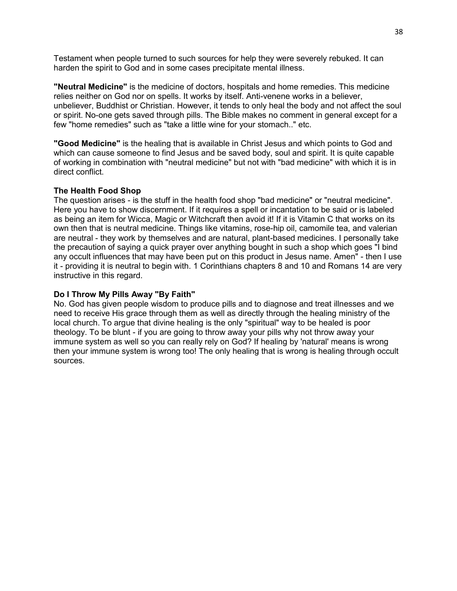Testament when people turned to such sources for help they were severely rebuked. It can harden the spirit to God and in some cases precipitate mental illness.

**"Neutral Medicine"** is the medicine of doctors, hospitals and home remedies. This medicine relies neither on God nor on spells. It works by itself. Anti-venene works in a believer, unbeliever, Buddhist or Christian. However, it tends to only heal the body and not affect the soul or spirit. No-one gets saved through pills. The Bible makes no comment in general except for a few "home remedies" such as "take a little wine for your stomach.." etc.

**"Good Medicine"** is the healing that is available in Christ Jesus and which points to God and which can cause someone to find Jesus and be saved body, soul and spirit. It is quite capable of working in combination with "neutral medicine" but not with "bad medicine" with which it is in direct conflict.

### **The Health Food Shop**

The question arises - is the stuff in the health food shop "bad medicine" or "neutral medicine". Here you have to show discernment. If it requires a spell or incantation to be said or is labeled as being an item for Wicca, Magic or Witchcraft then avoid it! If it is Vitamin C that works on its own then that is neutral medicine. Things like vitamins, rose-hip oil, camomile tea, and valerian are neutral - they work by themselves and are natural, plant-based medicines. I personally take the precaution of saying a quick prayer over anything bought in such a shop which goes "I bind any occult influences that may have been put on this product in Jesus name. Amen" - then I use it - providing it is neutral to begin with. 1 Corinthians chapters 8 and 10 and Romans 14 are very instructive in this regard.

### **Do I Throw My Pills Away "By Faith"**

No. God has given people wisdom to produce pills and to diagnose and treat illnesses and we need to receive His grace through them as well as directly through the healing ministry of the local church. To argue that divine healing is the only "spiritual" way to be healed is poor theology. To be blunt - if you are going to throw away your pills why not throw away your immune system as well so you can really rely on God? If healing by 'natural' means is wrong then your immune system is wrong too! The only healing that is wrong is healing through occult sources.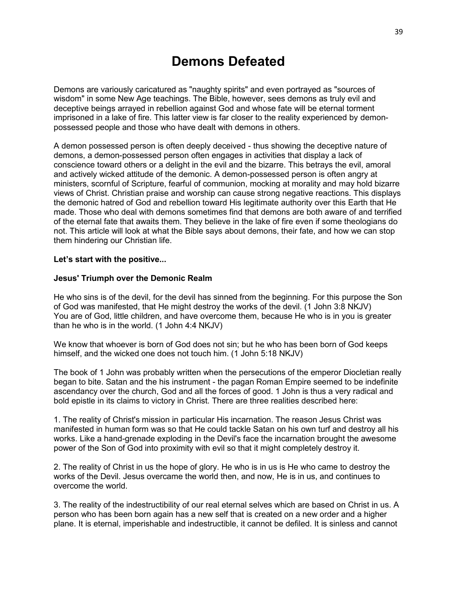# **Demons Defeated**

Demons are variously caricatured as "naughty spirits" and even portrayed as "sources of wisdom" in some New Age teachings. The Bible, however, sees demons as truly evil and deceptive beings arrayed in rebellion against God and whose fate will be eternal torment imprisoned in a lake of fire. This latter view is far closer to the reality experienced by demonpossessed people and those who have dealt with demons in others.

A demon possessed person is often deeply deceived - thus showing the deceptive nature of demons, a demon-possessed person often engages in activities that display a lack of conscience toward others or a delight in the evil and the bizarre. This betrays the evil, amoral and actively wicked attitude of the demonic. A demon-possessed person is often angry at ministers, scornful of Scripture, fearful of communion, mocking at morality and may hold bizarre views of Christ. Christian praise and worship can cause strong negative reactions. This displays the demonic hatred of God and rebellion toward His legitimate authority over this Earth that He made. Those who deal with demons sometimes find that demons are both aware of and terrified of the eternal fate that awaits them. They believe in the lake of fire even if some theologians do not. This article will look at what the Bible says about demons, their fate, and how we can stop them hindering our Christian life.

### **Let's start with the positive...**

### **Jesus' Triumph over the Demonic Realm**

He who sins is of the devil, for the devil has sinned from the beginning. For this purpose the Son of God was manifested, that He might destroy the works of the devil. (1 John 3:8 NKJV) You are of God, little children, and have overcome them, because He who is in you is greater than he who is in the world. (1 John 4:4 NKJV)

We know that whoever is born of God does not sin; but he who has been born of God keeps himself, and the wicked one does not touch him. (1 John 5:18 NKJV)

The book of 1 John was probably written when the persecutions of the emperor Diocletian really began to bite. Satan and the his instrument - the pagan Roman Empire seemed to be indefinite ascendancy over the church, God and all the forces of good. 1 John is thus a very radical and bold epistle in its claims to victory in Christ. There are three realities described here:

1. The reality of Christ's mission in particular His incarnation. The reason Jesus Christ was manifested in human form was so that He could tackle Satan on his own turf and destroy all his works. Like a hand-grenade exploding in the Devil's face the incarnation brought the awesome power of the Son of God into proximity with evil so that it might completely destroy it.

2. The reality of Christ in us the hope of glory. He who is in us is He who came to destroy the works of the Devil. Jesus overcame the world then, and now, He is in us, and continues to overcome the world.

3. The reality of the indestructibility of our real eternal selves which are based on Christ in us. A person who has been born again has a new self that is created on a new order and a higher plane. It is eternal, imperishable and indestructible, it cannot be defiled. It is sinless and cannot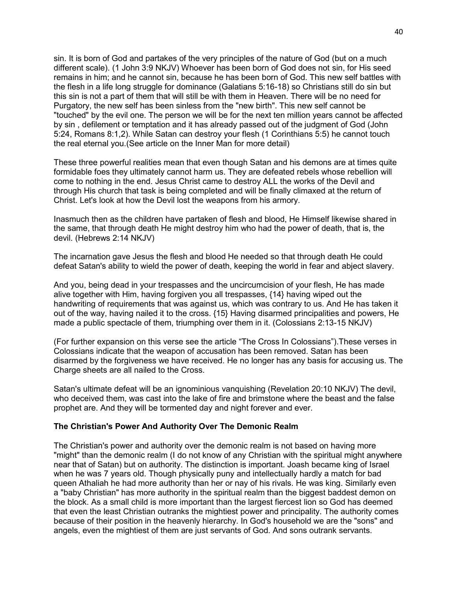sin. It is born of God and partakes of the very principles of the nature of God (but on a much different scale). (1 John 3:9 NKJV) Whoever has been born of God does not sin, for His seed remains in him; and he cannot sin, because he has been born of God. This new self battles with the flesh in a life long struggle for dominance (Galatians 5:16-18) so Christians still do sin but this sin is not a part of them that will still be with them in Heaven. There will be no need for Purgatory, the new self has been sinless from the "new birth". This new self cannot be "touched" by the evil one. The person we will be for the next ten million years cannot be affected by sin , defilement or temptation and it has already passed out of the judgment of God (John 5:24, Romans 8:1,2). While Satan can destroy your flesh (1 Corinthians 5:5) he cannot touch the real eternal you.(See article on the Inner Man for more detail)

These three powerful realities mean that even though Satan and his demons are at times quite formidable foes they ultimately cannot harm us. They are defeated rebels whose rebellion will come to nothing in the end. Jesus Christ came to destroy ALL the works of the Devil and through His church that task is being completed and will be finally climaxed at the return of Christ. Let's look at how the Devil lost the weapons from his armory.

Inasmuch then as the children have partaken of flesh and blood, He Himself likewise shared in the same, that through death He might destroy him who had the power of death, that is, the devil. (Hebrews 2:14 NKJV)

The incarnation gave Jesus the flesh and blood He needed so that through death He could defeat Satan's ability to wield the power of death, keeping the world in fear and abject slavery.

And you, being dead in your trespasses and the uncircumcision of your flesh, He has made alive together with Him, having forgiven you all trespasses, {14} having wiped out the handwriting of requirements that was against us, which was contrary to us. And He has taken it out of the way, having nailed it to the cross. {15} Having disarmed principalities and powers, He made a public spectacle of them, triumphing over them in it. (Colossians 2:13-15 NKJV)

(For further expansion on this verse see the article "The Cross In Colossians").These verses in Colossians indicate that the weapon of accusation has been removed. Satan has been disarmed by the forgiveness we have received. He no longer has any basis for accusing us. The Charge sheets are all nailed to the Cross.

Satan's ultimate defeat will be an ignominious vanquishing (Revelation 20:10 NKJV) The devil, who deceived them, was cast into the lake of fire and brimstone where the beast and the false prophet are. And they will be tormented day and night forever and ever.

### **The Christian's Power And Authority Over The Demonic Realm**

The Christian's power and authority over the demonic realm is not based on having more "might" than the demonic realm (I do not know of any Christian with the spiritual might anywhere near that of Satan) but on authority. The distinction is important. Joash became king of Israel when he was 7 years old. Though physically puny and intellectually hardly a match for bad queen Athaliah he had more authority than her or nay of his rivals. He was king. Similarly even a "baby Christian" has more authority in the spiritual realm than the biggest baddest demon on the block. As a small child is more important than the largest fiercest lion so God has deemed that even the least Christian outranks the mightiest power and principality. The authority comes because of their position in the heavenly hierarchy. In God's household we are the "sons" and angels, even the mightiest of them are just servants of God. And sons outrank servants.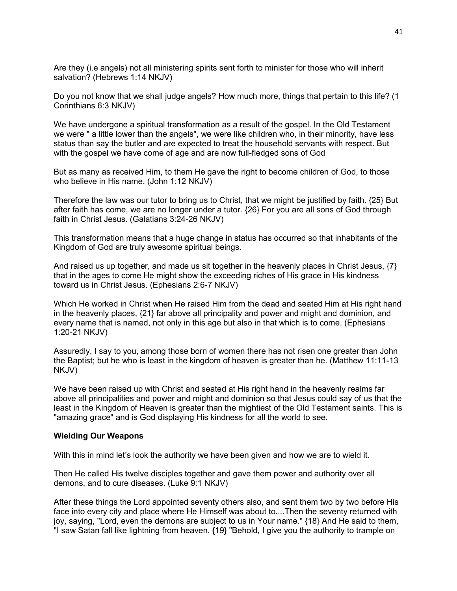Are they (i.e angels) not all ministering spirits sent forth to minister for those who will inherit salvation? (Hebrews 1:14 NKJV)

Do you not know that we shall judge angels? How much more, things that pertain to this life? (1 Corinthians 6:3 NKJV)

We have undergone a spiritual transformation as a result of the gospel. In the Old Testament we were " a little lower than the angels", we were like children who, in their minority, have less status than say the butler and are expected to treat the household servants with respect. But with the gospel we have come of age and are now full-fledged sons of God

But as many as received Him, to them He gave the right to become children of God, to those who believe in His name. (John 1:12 NKJV)

Therefore the law was our tutor to bring us to Christ, that we might be justified by faith. {25} But after faith has come, we are no longer under a tutor. {26} For you are all sons of God through faith in Christ Jesus. (Galatians 3:24-26 NKJV)

This transformation means that a huge change in status has occurred so that inhabitants of the Kingdom of God are truly awesome spiritual beings.

And raised us up together, and made us sit together in the heavenly places in Christ Jesus,  $\{7\}$ that in the ages to come He might show the exceeding riches of His grace in His kindness toward us in Christ Jesus. (Ephesians 2:6-7 NKJV)

Which He worked in Christ when He raised Him from the dead and seated Him at His right hand in the heavenly places, {21} far above all principality and power and might and dominion, and every name that is named, not only in this age but also in that which is to come. (Ephesians 1:20-21 NKJV)

Assuredly, I say to you, among those born of women there has not risen one greater than John the Baptist; but he who is least in the kingdom of heaven is greater than he. (Matthew 11:11-13 NKJV)

We have been raised up with Christ and seated at His right hand in the heavenly realms far above all principalities and power and might and dominion so that Jesus could say of us that the least in the Kingdom of Heaven is greater than the mightiest of the Old Testament saints. This is "amazing grace" and is God displaying His kindness for all the world to see.

#### **Wielding Our Weapons**

With this in mind let"s look the authority we have been given and how we are to wield it.

Then He called His twelve disciples together and gave them power and authority over all demons, and to cure diseases. (Luke 9:1 NKJV)

After these things the Lord appointed seventy others also, and sent them two by two before His face into every city and place where He Himself was about to....Then the seventy returned with joy, saying, "Lord, even the demons are subject to us in Your name." {18} And He said to them, "I saw Satan fall like lightning from heaven. {19} "Behold, I give you the authority to trample on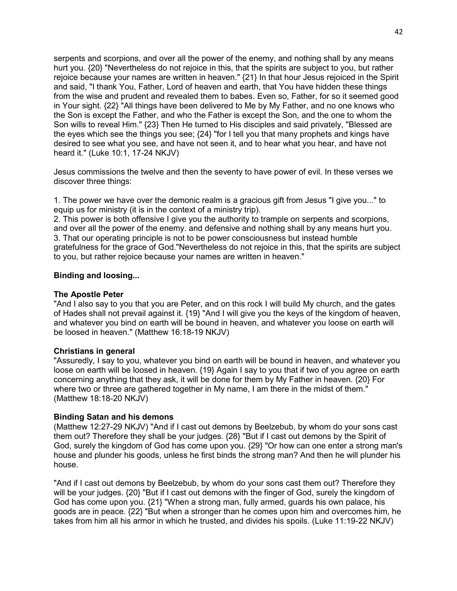serpents and scorpions, and over all the power of the enemy, and nothing shall by any means hurt you. {20} "Nevertheless do not rejoice in this, that the spirits are subject to you, but rather rejoice because your names are written in heaven." {21} In that hour Jesus rejoiced in the Spirit and said, "I thank You, Father, Lord of heaven and earth, that You have hidden these things from the wise and prudent and revealed them to babes. Even so, Father, for so it seemed good in Your sight. {22} "All things have been delivered to Me by My Father, and no one knows who the Son is except the Father, and who the Father is except the Son, and the one to whom the Son wills to reveal Him." {23} Then He turned to His disciples and said privately, "Blessed are the eyes which see the things you see; {24} "for I tell you that many prophets and kings have desired to see what you see, and have not seen it, and to hear what you hear, and have not heard it." (Luke 10:1, 17-24 NKJV)

Jesus commissions the twelve and then the seventy to have power of evil. In these verses we discover three things:

1. The power we have over the demonic realm is a gracious gift from Jesus "I give you..." to equip us for ministry (it is in the context of a ministry trip).

2. This power is both offensive I give you the authority to trample on serpents and scorpions, and over all the power of the enemy. and defensive and nothing shall by any means hurt you. 3. That our operating principle is not to be power consciousness but instead humble gratefulness for the grace of God."Nevertheless do not rejoice in this, that the spirits are subject to you, but rather rejoice because your names are written in heaven."

### **Binding and loosing...**

### **The Apostle Peter**

"And I also say to you that you are Peter, and on this rock I will build My church, and the gates of Hades shall not prevail against it. {19} "And I will give you the keys of the kingdom of heaven, and whatever you bind on earth will be bound in heaven, and whatever you loose on earth will be loosed in heaven." (Matthew 16:18-19 NKJV)

#### **Christians in general**

"Assuredly, I say to you, whatever you bind on earth will be bound in heaven, and whatever you loose on earth will be loosed in heaven. {19} Again I say to you that if two of you agree on earth concerning anything that they ask, it will be done for them by My Father in heaven. {20} For where two or three are gathered together in My name, I am there in the midst of them." (Matthew 18:18-20 NKJV)

### **Binding Satan and his demons**

(Matthew 12:27-29 NKJV) "And if I cast out demons by Beelzebub, by whom do your sons cast them out? Therefore they shall be your judges. {28} "But if I cast out demons by the Spirit of God, surely the kingdom of God has come upon you. {29} "Or how can one enter a strong man's house and plunder his goods, unless he first binds the strong man? And then he will plunder his house.

"And if I cast out demons by Beelzebub, by whom do your sons cast them out? Therefore they will be your judges. {20} "But if I cast out demons with the finger of God, surely the kingdom of God has come upon you. {21} "When a strong man, fully armed, guards his own palace, his goods are in peace. {22} "But when a stronger than he comes upon him and overcomes him, he takes from him all his armor in which he trusted, and divides his spoils. (Luke 11:19-22 NKJV)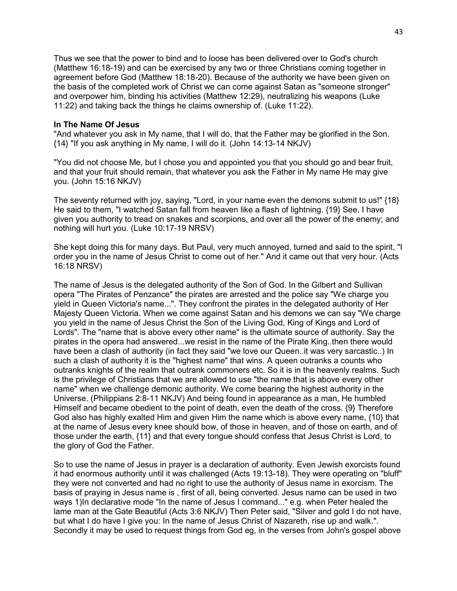Thus we see that the power to bind and to loose has been delivered over to God's church (Matthew 16:18-19) and can be exercised by any two or three Christians coming together in agreement before God (Matthew 18:18-20). Because of the authority we have been given on the basis of the completed work of Christ we can come against Satan as "someone stronger" and overpower him, binding his activities (Matthew 12:29), neutralizing his weapons (Luke 11:22) and taking back the things he claims ownership of. (Luke 11:22).

#### **In The Name Of Jesus**

"And whatever you ask in My name, that I will do, that the Father may be glorified in the Son. {14} "If you ask anything in My name, I will do it. (John 14:13-14 NKJV)

"You did not choose Me, but I chose you and appointed you that you should go and bear fruit, and that your fruit should remain, that whatever you ask the Father in My name He may give you. (John 15:16 NKJV)

The seventy returned with joy, saying, "Lord, in your name even the demons submit to us!" {18} He said to them, "I watched Satan fall from heaven like a flash of lightning. {19} See, I have given you authority to tread on snakes and scorpions, and over all the power of the enemy; and nothing will hurt you. (Luke 10:17-19 NRSV)

She kept doing this for many days. But Paul, very much annoyed, turned and said to the spirit, "I order you in the name of Jesus Christ to come out of her." And it came out that very hour. (Acts 16:18 NRSV)

The name of Jesus is the delegated authority of the Son of God. In the Gilbert and Sullivan opera "The Pirates of Penzance" the pirates are arrested and the police say "We charge you yield in Queen Victoria's name...". They confront the pirates in the delegated authority of Her Majesty Queen Victoria. When we come against Satan and his demons we can say "We charge you yield in the name of Jesus Christ the Son of the Living God, King of Kings and Lord of Lords". The "name that is above every other name" is the ultimate source of authority. Say the pirates in the opera had answered...we resist in the name of the Pirate King..then there would have been a clash of authority (in fact they said "we love our Queen..it was very sarcastic..) In such a clash of authority it is the "highest name" that wins. A queen outranks a counts who outranks knights of the realm that outrank commoners etc. So it is in the heavenly realms. Such is the privilege of Christians that we are allowed to use "the name that is above every other name" when we challenge demonic authority. We come bearing the highest authority in the Universe. (Philippians 2:8-11 NKJV) And being found in appearance as a man, He humbled Himself and became obedient to the point of death, even the death of the cross. {9} Therefore God also has highly exalted Him and given Him the name which is above every name, {10} that at the name of Jesus every knee should bow, of those in heaven, and of those on earth, and of those under the earth, {11} and that every tongue should confess that Jesus Christ is Lord, to the glory of God the Father.

So to use the name of Jesus in prayer is a declaration of authority. Even Jewish exorcists found it had enormous authority until it was challenged (Acts 19:13-18). They were operating on "bluff" they were not converted and had no right to use the authority of Jesus name in exorcism. The basis of praying in Jesus name is , first of all, being converted. Jesus name can be used in two ways 1)In declarative mode "In the name of Jesus I command..." e.g. when Peter healed the lame man at the Gate Beautiful (Acts 3:6 NKJV) Then Peter said, "Silver and gold I do not have, but what I do have I give you: In the name of Jesus Christ of Nazareth, rise up and walk.". Secondly it may be used to request things from God eg, in the verses from John's gospel above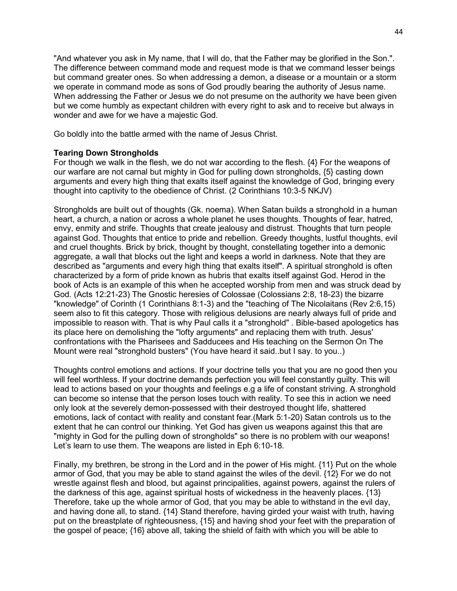"And whatever you ask in My name, that I will do, that the Father may be glorified in the Son.". The difference between command mode and request mode is that we command lesser beings but command greater ones. So when addressing a demon, a disease or a mountain or a storm we operate in command mode as sons of God proudly bearing the authority of Jesus name. When addressing the Father or Jesus we do not presume on the authority we have been given but we come humbly as expectant children with every right to ask and to receive but always in wonder and awe for we have a majestic God.

Go boldly into the battle armed with the name of Jesus Christ.

### **Tearing Down Strongholds**

For though we walk in the flesh, we do not war according to the flesh. {4} For the weapons of our warfare are not carnal but mighty in God for pulling down strongholds, {5} casting down arguments and every high thing that exalts itself against the knowledge of God, bringing every thought into captivity to the obedience of Christ. (2 Corinthians 10:3-5 NKJV)

Strongholds are built out of thoughts (Gk. noema). When Satan builds a stronghold in a human heart, a church, a nation or across a whole planet he uses thoughts. Thoughts of fear, hatred, envy, enmity and strife. Thoughts that create jealousy and distrust. Thoughts that turn people against God. Thoughts that entice to pride and rebellion. Greedy thoughts, lustful thoughts, evil and cruel thoughts. Brick by brick, thought by thought, constellating together into a demonic aggregate, a wall that blocks out the light and keeps a world in darkness. Note that they are described as "arguments and every high thing that exalts itself". A spiritual stronghold is often characterized by a form of pride known as hubris that exalts itself against God. Herod in the book of Acts is an example of this when he accepted worship from men and was struck dead by God. (Acts 12:21-23) The Gnostic heresies of Colossae (Colossians 2:8, 18-23) the bizarre "knowledge" of Corinth (1 Corinthians 8:1-3) and the "teaching of The Nicolaitans (Rev 2:6,15) seem also to fit this category. Those with religious delusions are nearly always full of pride and impossible to reason with. That is why Paul calls it a "stronghold" . Bible-based apologetics has its place here on demolishing the "lofty arguments" and replacing them with truth. Jesus' confrontations with the Pharisees and Sadducees and His teaching on the Sermon On The Mount were real "stronghold busters" (You have heard it said..but I say. to you..)

Thoughts control emotions and actions. If your doctrine tells you that you are no good then you will feel worthless. If your doctrine demands perfection you will feel constantly guilty. This will lead to actions based on your thoughts and feelings e.g a life of constant striving. A stronghold can become so intense that the person loses touch with reality. To see this in action we need only look at the severely demon-possessed with their destroyed thought life, shattered emotions, lack of contact with reality and constant fear.(Mark 5:1-20) Satan controls us to the extent that he can control our thinking. Yet God has given us weapons against this that are "mighty in God for the pulling down of strongholds" so there is no problem with our weapons! Let's learn to use them. The weapons are listed in Eph 6:10-18.

Finally, my brethren, be strong in the Lord and in the power of His might. {11} Put on the whole armor of God, that you may be able to stand against the wiles of the devil. {12} For we do not wrestle against flesh and blood, but against principalities, against powers, against the rulers of the darkness of this age, against spiritual hosts of wickedness in the heavenly places. {13} Therefore, take up the whole armor of God, that you may be able to withstand in the evil day, and having done all, to stand. {14} Stand therefore, having girded your waist with truth, having put on the breastplate of righteousness, {15} and having shod your feet with the preparation of the gospel of peace; {16} above all, taking the shield of faith with which you will be able to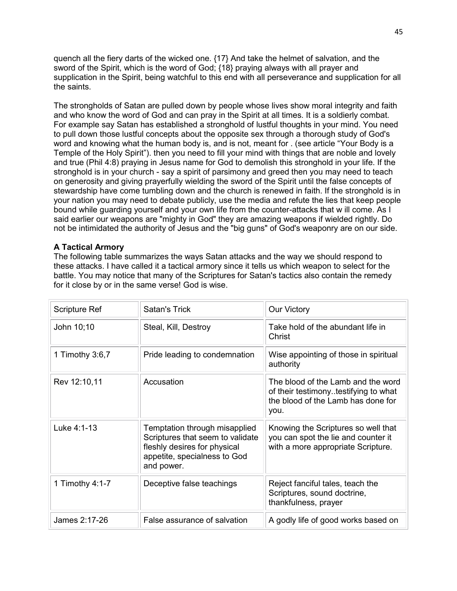quench all the fiery darts of the wicked one. {17} And take the helmet of salvation, and the sword of the Spirit, which is the word of God; {18} praying always with all prayer and supplication in the Spirit, being watchful to this end with all perseverance and supplication for all the saints.

The strongholds of Satan are pulled down by people whose lives show moral integrity and faith and who know the word of God and can pray in the Spirit at all times. It is a soldierly combat. For example say Satan has established a stronghold of lustful thoughts in your mind. You need to pull down those lustful concepts about the opposite sex through a thorough study of God's word and knowing what the human body is, and is not, meant for . (see article "Your Body is a Temple of the Holy Spirit"). then you need to fill your mind with things that are noble and lovely and true (Phil 4:8) praying in Jesus name for God to demolish this stronghold in your life. If the stronghold is in your church - say a spirit of parsimony and greed then you may need to teach on generosity and giving prayerfully wielding the sword of the Spirit until the false concepts of stewardship have come tumbling down and the church is renewed in faith. If the stronghold is in your nation you may need to debate publicly, use the media and refute the lies that keep people bound while guarding yourself and your own life from the counter-attacks that w ill come. As I said earlier our weapons are "mighty in God" they are amazing weapons if wielded rightly. Do not be intimidated the authority of Jesus and the "big guns" of God's weaponry are on our side.

### **A Tactical Armory**

The following table summarizes the ways Satan attacks and the way we should respond to these attacks. I have called it a tactical armory since it tells us which weapon to select for the battle. You may notice that many of the Scriptures for Satan's tactics also contain the remedy for it close by or in the same verse! God is wise.

| <b>Scripture Ref</b> | <b>Satan's Trick</b>                                                                                                                            | <b>Our Victory</b>                                                                                                         |
|----------------------|-------------------------------------------------------------------------------------------------------------------------------------------------|----------------------------------------------------------------------------------------------------------------------------|
| John 10;10           | Steal, Kill, Destroy                                                                                                                            | Take hold of the abundant life in<br>Christ                                                                                |
| 1 Timothy 3:6,7      | Pride leading to condemnation                                                                                                                   | Wise appointing of those in spiritual<br>authority                                                                         |
| Rev 12:10,11         | Accusation                                                                                                                                      | The blood of the Lamb and the word<br>of their testimony. testifying to what<br>the blood of the Lamb has done for<br>you. |
| Luke 4:1-13          | Temptation through misapplied<br>Scriptures that seem to validate<br>fleshly desires for physical<br>appetite, specialness to God<br>and power. | Knowing the Scriptures so well that<br>you can spot the lie and counter it<br>with a more appropriate Scripture.           |
| 1 Timothy 4:1-7      | Deceptive false teachings                                                                                                                       | Reject fanciful tales, teach the<br>Scriptures, sound doctrine,<br>thankfulness, prayer                                    |
| James 2:17-26        | False assurance of salvation                                                                                                                    | A godly life of good works based on                                                                                        |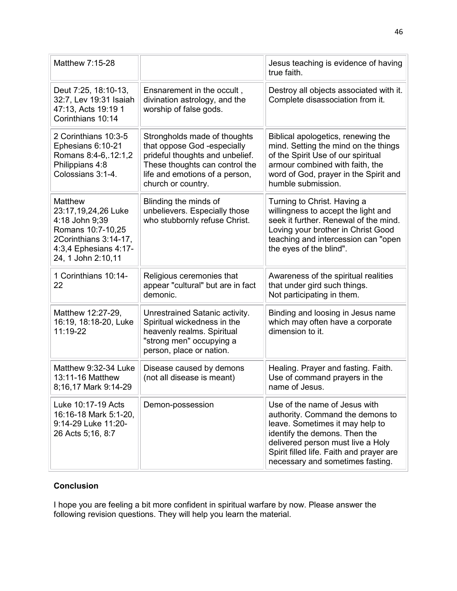| Matthew 7:15-28                                                                                                                               |                                                                                                                                                                                          | Jesus teaching is evidence of having<br>true faith.                                                                                                                                                                                                        |
|-----------------------------------------------------------------------------------------------------------------------------------------------|------------------------------------------------------------------------------------------------------------------------------------------------------------------------------------------|------------------------------------------------------------------------------------------------------------------------------------------------------------------------------------------------------------------------------------------------------------|
| Deut 7:25, 18:10-13,<br>32:7, Lev 19:31 Isaiah<br>47:13, Acts 19:19 1<br>Corinthians 10:14                                                    | Ensnarement in the occult,<br>divination astrology, and the<br>worship of false gods.                                                                                                    | Destroy all objects associated with it.<br>Complete disassociation from it.                                                                                                                                                                                |
| 2 Corinthians 10:3-5<br>Ephesians 6:10-21<br>Romans 8:4-6, 12:1,2<br>Philippians 4:8<br>Colossians 3:1-4.                                     | Strongholds made of thoughts<br>that oppose God -especially<br>prideful thoughts and unbelief.<br>These thoughts can control the<br>life and emotions of a person,<br>church or country. | Biblical apologetics, renewing the<br>mind. Setting the mind on the things<br>of the Spirit Use of our spiritual<br>armour combined with faith, the<br>word of God, prayer in the Spirit and<br>humble submission.                                         |
| Matthew<br>23:17,19,24,26 Luke<br>4:18 John 9;39<br>Romans 10:7-10,25<br>2Corinthians 3:14-17,<br>4:3,4 Ephesians 4:17-<br>24, 1 John 2:10,11 | Blinding the minds of<br>unbelievers. Especially those<br>who stubbornly refuse Christ.                                                                                                  | Turning to Christ. Having a<br>willingness to accept the light and<br>seek it further. Renewal of the mind.<br>Loving your brother in Christ Good<br>teaching and intercession can "open<br>the eyes of the blind".                                        |
| 1 Corinthians 10:14-<br>22                                                                                                                    | Religious ceremonies that<br>appear "cultural" but are in fact<br>demonic.                                                                                                               | Awareness of the spiritual realities<br>that under gird such things.<br>Not participating in them.                                                                                                                                                         |
| Matthew 12:27-29,<br>16:19, 18:18-20, Luke<br>11:19-22                                                                                        | Unrestrained Satanic activity.<br>Spiritual wickedness in the<br>heavenly realms. Spiritual<br>"strong men" occupying a<br>person, place or nation.                                      | Binding and loosing in Jesus name<br>which may often have a corporate<br>dimension to it.                                                                                                                                                                  |
| Matthew 9:32-34 Luke<br>13:11-16 Matthew<br>8;16,17 Mark 9:14-29                                                                              | Disease caused by demons<br>(not all disease is meant)                                                                                                                                   | Healing. Prayer and fasting. Faith.<br>Use of command prayers in the<br>name of Jesus.                                                                                                                                                                     |
| Luke 10:17-19 Acts<br>16:16-18 Mark 5:1-20,<br>9:14-29 Luke 11:20-<br>26 Acts 5;16, 8:7                                                       | Demon-possession                                                                                                                                                                         | Use of the name of Jesus with<br>authority. Command the demons to<br>leave. Sometimes it may help to<br>identify the demons. Then the<br>delivered person must live a Holy<br>Spirit filled life. Faith and prayer are<br>necessary and sometimes fasting. |

# **Conclusion**

I hope you are feeling a bit more confident in spiritual warfare by now. Please answer the following revision questions. They will help you learn the material.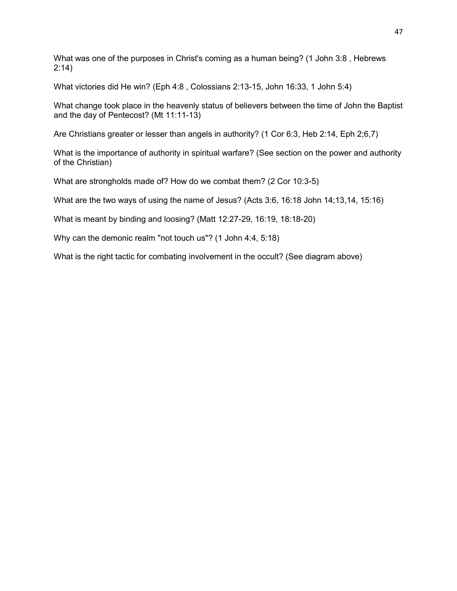What was one of the purposes in Christ's coming as a human being? (1 John 3:8, Hebrews 2:14)

What victories did He win? (Eph 4:8 , Colossians 2:13-15, John 16:33, 1 John 5:4)

What change took place in the heavenly status of believers between the time of John the Baptist and the day of Pentecost? (Mt 11:11-13)

Are Christians greater or lesser than angels in authority? (1 Cor 6:3, Heb 2:14, Eph 2;6,7)

What is the importance of authority in spiritual warfare? (See section on the power and authority of the Christian)

What are strongholds made of? How do we combat them? (2 Cor 10:3-5)

What are the two ways of using the name of Jesus? (Acts 3:6, 16:18 John 14;13,14, 15:16)

What is meant by binding and loosing? (Matt 12:27-29, 16:19, 18:18-20)

Why can the demonic realm "not touch us"? (1 John 4:4, 5:18)

What is the right tactic for combating involvement in the occult? (See diagram above)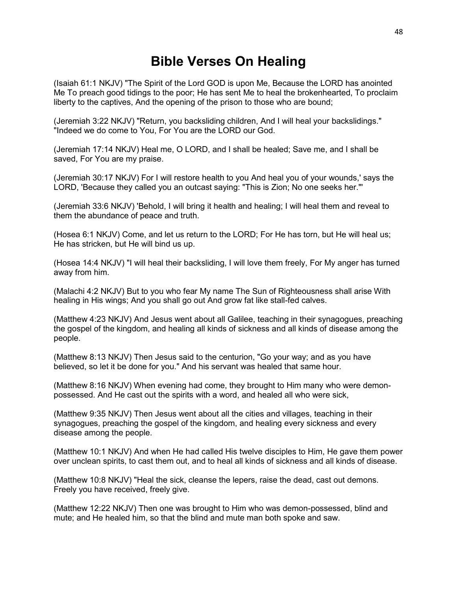# **Bible Verses On Healing**

(Isaiah 61:1 NKJV) "The Spirit of the Lord GOD is upon Me, Because the LORD has anointed Me To preach good tidings to the poor; He has sent Me to heal the brokenhearted, To proclaim liberty to the captives, And the opening of the prison to those who are bound;

(Jeremiah 3:22 NKJV) "Return, you backsliding children, And I will heal your backslidings." "Indeed we do come to You, For You are the LORD our God.

(Jeremiah 17:14 NKJV) Heal me, O LORD, and I shall be healed; Save me, and I shall be saved, For You are my praise.

(Jeremiah 30:17 NKJV) For I will restore health to you And heal you of your wounds,' says the LORD, 'Because they called you an outcast saying: "This is Zion; No one seeks her."'

(Jeremiah 33:6 NKJV) 'Behold, I will bring it health and healing; I will heal them and reveal to them the abundance of peace and truth.

(Hosea 6:1 NKJV) Come, and let us return to the LORD; For He has torn, but He will heal us; He has stricken, but He will bind us up.

(Hosea 14:4 NKJV) "I will heal their backsliding, I will love them freely, For My anger has turned away from him.

(Malachi 4:2 NKJV) But to you who fear My name The Sun of Righteousness shall arise With healing in His wings; And you shall go out And grow fat like stall-fed calves.

(Matthew 4:23 NKJV) And Jesus went about all Galilee, teaching in their synagogues, preaching the gospel of the kingdom, and healing all kinds of sickness and all kinds of disease among the people.

(Matthew 8:13 NKJV) Then Jesus said to the centurion, "Go your way; and as you have believed, so let it be done for you." And his servant was healed that same hour.

(Matthew 8:16 NKJV) When evening had come, they brought to Him many who were demonpossessed. And He cast out the spirits with a word, and healed all who were sick,

(Matthew 9:35 NKJV) Then Jesus went about all the cities and villages, teaching in their synagogues, preaching the gospel of the kingdom, and healing every sickness and every disease among the people.

(Matthew 10:1 NKJV) And when He had called His twelve disciples to Him, He gave them power over unclean spirits, to cast them out, and to heal all kinds of sickness and all kinds of disease.

(Matthew 10:8 NKJV) "Heal the sick, cleanse the lepers, raise the dead, cast out demons. Freely you have received, freely give.

(Matthew 12:22 NKJV) Then one was brought to Him who was demon-possessed, blind and mute; and He healed him, so that the blind and mute man both spoke and saw.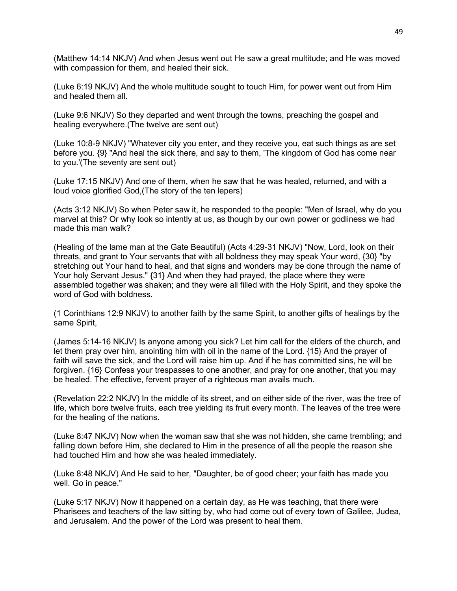(Matthew 14:14 NKJV) And when Jesus went out He saw a great multitude; and He was moved with compassion for them, and healed their sick.

(Luke 6:19 NKJV) And the whole multitude sought to touch Him, for power went out from Him and healed them all.

(Luke 9:6 NKJV) So they departed and went through the towns, preaching the gospel and healing everywhere.(The twelve are sent out)

(Luke 10:8-9 NKJV) "Whatever city you enter, and they receive you, eat such things as are set before you. {9} "And heal the sick there, and say to them, 'The kingdom of God has come near to you.'(The seventy are sent out)

(Luke 17:15 NKJV) And one of them, when he saw that he was healed, returned, and with a loud voice glorified God,(The story of the ten lepers)

(Acts 3:12 NKJV) So when Peter saw it, he responded to the people: "Men of Israel, why do you marvel at this? Or why look so intently at us, as though by our own power or godliness we had made this man walk?

(Healing of the lame man at the Gate Beautiful) (Acts 4:29-31 NKJV) "Now, Lord, look on their threats, and grant to Your servants that with all boldness they may speak Your word, {30} "by stretching out Your hand to heal, and that signs and wonders may be done through the name of Your holy Servant Jesus." {31} And when they had prayed, the place where they were assembled together was shaken; and they were all filled with the Holy Spirit, and they spoke the word of God with boldness.

(1 Corinthians 12:9 NKJV) to another faith by the same Spirit, to another gifts of healings by the same Spirit,

(James 5:14-16 NKJV) Is anyone among you sick? Let him call for the elders of the church, and let them pray over him, anointing him with oil in the name of the Lord. {15} And the prayer of faith will save the sick, and the Lord will raise him up. And if he has committed sins, he will be forgiven. {16} Confess your trespasses to one another, and pray for one another, that you may be healed. The effective, fervent prayer of a righteous man avails much.

(Revelation 22:2 NKJV) In the middle of its street, and on either side of the river, was the tree of life, which bore twelve fruits, each tree yielding its fruit every month. The leaves of the tree were for the healing of the nations.

(Luke 8:47 NKJV) Now when the woman saw that she was not hidden, she came trembling; and falling down before Him, she declared to Him in the presence of all the people the reason she had touched Him and how she was healed immediately.

(Luke 8:48 NKJV) And He said to her, "Daughter, be of good cheer; your faith has made you well. Go in peace."

(Luke 5:17 NKJV) Now it happened on a certain day, as He was teaching, that there were Pharisees and teachers of the law sitting by, who had come out of every town of Galilee, Judea, and Jerusalem. And the power of the Lord was present to heal them.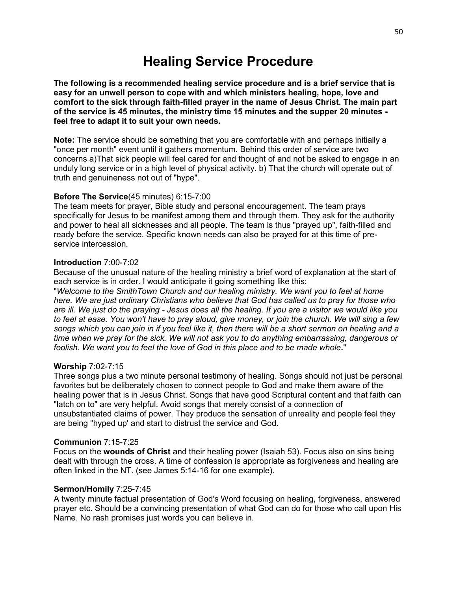# **Healing Service Procedure**

**The following is a recommended healing service procedure and is a brief service that is easy for an unwell person to cope with and which ministers healing, hope, love and comfort to the sick through faith-filled prayer in the name of Jesus Christ. The main part of the service is 45 minutes, the ministry time 15 minutes and the supper 20 minutes feel free to adapt it to suit your own needs.**

**Note:** The service should be something that you are comfortable with and perhaps initially a "once per month" event until it gathers momentum. Behind this order of service are two concerns a)That sick people will feel cared for and thought of and not be asked to engage in an unduly long service or in a high level of physical activity. b) That the church will operate out of truth and genuineness not out of "hype".

### **Before The Service**(45 minutes) 6:15-7:00

The team meets for prayer, Bible study and personal encouragement. The team prays specifically for Jesus to be manifest among them and through them. They ask for the authority and power to heal all sicknesses and all people. The team is thus "prayed up", faith-filled and ready before the service. Specific known needs can also be prayed for at this time of preservice intercession.

#### **Introduction** 7:00-7:02

Because of the unusual nature of the healing ministry a brief word of explanation at the start of each service is in order. I would anticipate it going something like this:

"*Welcome to the SmithTown Church and our healing ministry. We want you to feel at home here. We are just ordinary Christians who believe that God has called us to pray for those who are ill. We just do the praying - Jesus does all the healing. If you are a visitor we would like you to feel at ease. You won't have to pray aloud, give money, or join the church. We will sing a few songs which you can join in if you feel like it, then there will be a short sermon on healing and a time when we pray for the sick. We will not ask you to do anything embarrassing, dangerous or foolish. We want you to feel the love of God in this place and to be made whole***.**"

#### **Worship** 7:02-7:15

Three songs plus a two minute personal testimony of healing. Songs should not just be personal favorites but be deliberately chosen to connect people to God and make them aware of the healing power that is in Jesus Christ. Songs that have good Scriptural content and that faith can "latch on to" are very helpful. Avoid songs that merely consist of a connection of unsubstantiated claims of power. They produce the sensation of unreality and people feel they are being "hyped up' and start to distrust the service and God.

### **Communion** 7:15-7:25

Focus on the **wounds of Christ** and their healing power (Isaiah 53). Focus also on sins being dealt with through the cross. A time of confession is appropriate as forgiveness and healing are often linked in the NT. (see James 5:14-16 for one example).

#### **Sermon/Homily** 7:25-7:45

A twenty minute factual presentation of God's Word focusing on healing, forgiveness, answered prayer etc. Should be a convincing presentation of what God can do for those who call upon His Name. No rash promises just words you can believe in.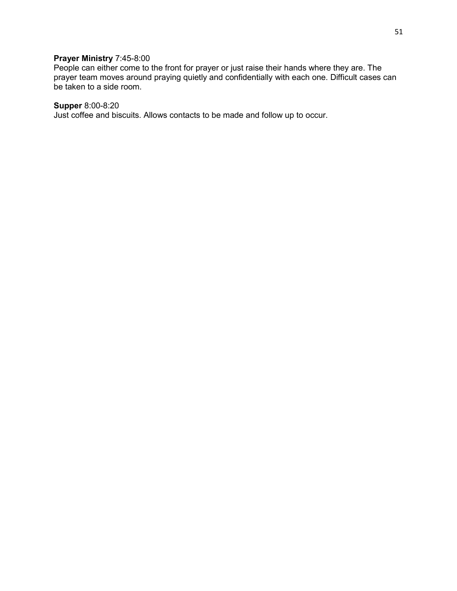# **Prayer Ministry** 7:45-8:00

People can either come to the front for prayer or just raise their hands where they are. The prayer team moves around praying quietly and confidentially with each one. Difficult cases can be taken to a side room.

### **Supper** 8:00-8:20

Just coffee and biscuits. Allows contacts to be made and follow up to occur.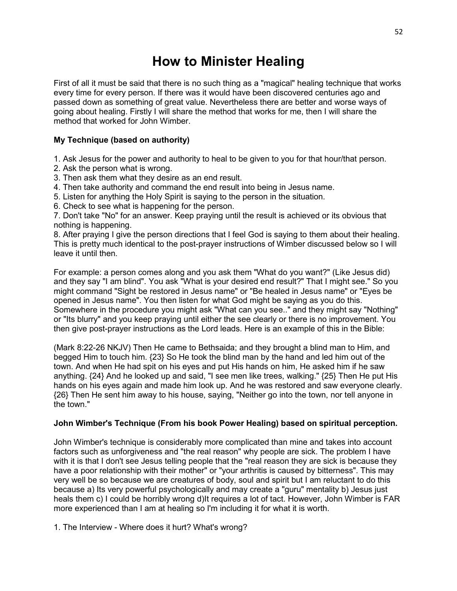# **How to Minister Healing**

First of all it must be said that there is no such thing as a "magical" healing technique that works every time for every person. If there was it would have been discovered centuries ago and passed down as something of great value. Nevertheless there are better and worse ways of going about healing. Firstly I will share the method that works for me, then I will share the method that worked for John Wimber.

# **My Technique (based on authority)**

1. Ask Jesus for the power and authority to heal to be given to you for that hour/that person.

- 2. Ask the person what is wrong.
- 3. Then ask them what they desire as an end result.
- 4. Then take authority and command the end result into being in Jesus name.
- 5. Listen for anything the Holy Spirit is saying to the person in the situation.
- 6. Check to see what is happening for the person.

7. Don't take "No" for an answer. Keep praying until the result is achieved or its obvious that nothing is happening.

8. After praying I give the person directions that I feel God is saying to them about their healing. This is pretty much identical to the post-prayer instructions of Wimber discussed below so I will leave it until then.

For example: a person comes along and you ask them "What do you want?" (Like Jesus did) and they say "I am blind". You ask "What is your desired end result?" That I might see." So you might command "Sight be restored in Jesus name" or "Be healed in Jesus name" or "Eyes be opened in Jesus name". You then listen for what God might be saying as you do this. Somewhere in the procedure you might ask "What can you see.." and they might say "Nothing" or "Its blurry" and you keep praying until either the see clearly or there is no improvement. You then give post-prayer instructions as the Lord leads. Here is an example of this in the Bible:

(Mark 8:22-26 NKJV) Then He came to Bethsaida; and they brought a blind man to Him, and begged Him to touch him. {23} So He took the blind man by the hand and led him out of the town. And when He had spit on his eyes and put His hands on him, He asked him if he saw anything. {24} And he looked up and said, "I see men like trees, walking." {25} Then He put His hands on his eyes again and made him look up. And he was restored and saw everyone clearly. {26} Then He sent him away to his house, saying, "Neither go into the town, nor tell anyone in the town."

# **John Wimber's Technique (From his book Power Healing) based on spiritual perception.**

John Wimber's technique is considerably more complicated than mine and takes into account factors such as unforgiveness and "the real reason" why people are sick. The problem I have with it is that I don't see Jesus telling people that the "real reason they are sick is because they have a poor relationship with their mother" or "your arthritis is caused by bitterness". This may very well be so because we are creatures of body, soul and spirit but I am reluctant to do this because a) Its very powerful psychologically and may create a "guru" mentality b) Jesus just heals them c) I could be horribly wrong d) It requires a lot of tact. However, John Wimber is FAR more experienced than I am at healing so I'm including it for what it is worth.

1. The Interview - Where does it hurt? What's wrong?